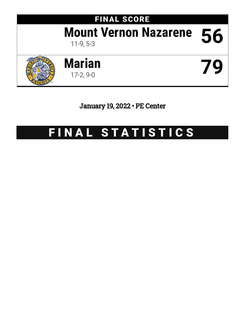# FINAL SCORE **Mount Vernon Nazarene 56**





January 19, 2022 • PE Center

## FINAL STATISTICS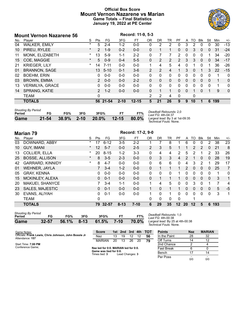### **Official Box Score Mount Vernon Nazarene vs Marian Game Totals -- Final Statistics January 19, 2022 at PE Center**



|     | <b>Mount Vernon Nazarene 56</b> |          |                 |          |          | Record: 11-9, 5-3 |              |           |              |               |          |          |             |              |     |             |
|-----|---------------------------------|----------|-----------------|----------|----------|-------------------|--------------|-----------|--------------|---------------|----------|----------|-------------|--------------|-----|-------------|
| No. | Plaver                          | S        | Pts             | FG       | 3FG      | FT.               | <b>OR</b>    | <b>DR</b> | TR           | PF            | A        | TO       | <b>B</b> lk | Stl          | Min | $+/-$       |
| 04  | <b>WALKER, EMILY</b>            | $\ast$   | 5               | $2 - 4$  | $1 - 2$  | $0-0$             | 0            | 2         | 2            | $\Omega$      | 3        | 2        | $\Omega$    | 0            | 30  | $-13$       |
| 10  | PIREU, RYLEE                    | $^\star$ | 2               | $1 - 9$  | $0 - 2$  | $0 - 0$           | 0            | 1         | 1            | 0             | 0        | 3        | $\Omega$    | $\mathbf{0}$ | 31  | $-24$       |
| 11  | MONK, ELIZABETH                 | *        | 13 <sup>°</sup> | $5-9$    | $1 - 1$  | $2 - 2$           | 0            |           | 7            | 2             | 0        | 0        | 0           | 1            | 34  | $-20$       |
| 15  | COE, MAGGIE                     | $\star$  | 5               | $0 - 9$  | $0 - 4$  | $5 - 5$           | $\Omega$     | 2         | 2            | $\mathcal{P}$ | 3        | 3        | $\Omega$    | $\mathbf{0}$ | 34  | $-17$       |
| 21  | <b>KRIEGER, LILY</b>            | $\ast$   | 14              | $7 - 11$ | $0 - 0$  | $0-0$             | 1.           | 4         | 5            | 4             | $\Omega$ |          | $\Omega$    | 1            | 36  | $-26$       |
| 01  | <b>BRANNON, SAGE</b>            |          | 13              | $5 - 10$ | $0 - 1$  | $3-6$             | 2            | 2         | 4            | 1             | 3        | $\Omega$ |             | 3            | 22  | $-15$       |
| 02  | <b>BOEHM, ERIN</b>              |          | 0               | $0 - 0$  | $0 - 0$  | $0-0$             | $\mathbf{0}$ | 0         | $\mathbf{0}$ | 0             | 0        | $\Omega$ | $\Omega$    | 0            | 1   | $\mathbf 0$ |
| 03  | <b>BROWN, EMMA</b>              |          | 2               | $0 - 0$  | $0 - 0$  | $2 - 2$           | 0            | $\Omega$  | $\Omega$     | $\Omega$      | 0        | $\Omega$ | $\Omega$    | $\Omega$     | 1   | 0           |
| 13  | <b>VERMILYA, GRACE</b>          |          | 0               | $0 - 0$  | $0 - 0$  | $0 - 0$           | $\Omega$     | $\Omega$  | $\Omega$     | $\Omega$      | $\Omega$ | 0        | 0           | $\Omega$     | 1   | 0           |
| 14  | SPRANG, KATIE                   |          | $\overline{2}$  | $1 - 2$  | $0 - 0$  | $0 - 0$           | 0            | 1         | 1            | $\Omega$      | $\Omega$ |          | $\Omega$    | 1            | 9   | $\Omega$    |
|     | <b>TEAM</b>                     |          | $\Omega$        |          |          |                   | 2            | 2         | 4            | $\mathbf{0}$  |          | 0        |             |              |     |             |
|     | <b>TOTALS</b>                   |          |                 | 56 21-54 | $2 - 10$ | $12 - 15$         | 5            | 21        | 26           | 9             | 9        | 10       |             | 6            | 199 |             |
|     |                                 |          |                 |          |          |                   |              |           |              |               |          |          |             |              |     |             |

| Period | FG. | FG% | 3FG | 3FG%                               | FT% |
|--------|-----|-----|-----|------------------------------------|-----|
| Game   |     |     |     | 21-54 38.9% 2-10 20.0% 12-15 80.0% |     |

*Deadball Rebounds:* 2,0 *Last FG:* 4th-04:37 *Largest lead:* By 3 at 1st-09:35 *Technical Fouls:* None.

|     | Record: 17-2, 9-0<br><b>Marian 79</b> |          |              |           |          |         |                |           |    |                 |    |         |              |          |     |                |
|-----|---------------------------------------|----------|--------------|-----------|----------|---------|----------------|-----------|----|-----------------|----|---------|--------------|----------|-----|----------------|
| No. | Plaver                                | S        | <b>Pts</b>   | FG        | 3FG      | FT      | <b>OR</b>      | <b>DR</b> | TR | <b>PF</b>       | A  | TO      | Blk          | Stl      | Min | $+/-$          |
| 03  | DOWNARD, ABBY                         | *        | 17           | $6 - 12$  | 3-5      | $2 - 2$ |                |           | 8  |                 | 6  | 0       | 0            | 2        | 38  | 23             |
| 10  | <b>GUY, IMANI</b>                     | $\star$  | 12           | $5 - 7$   | $0 - 0$  | $2 - 5$ | $\overline{2}$ | 3         | 5  |                 |    | 2       | 2            | 0        | 21  | 8              |
| 13  | <b>COLLIER, ELLA</b>                  | *        | 20           | $8 - 15$  | $1-2$    | $3 - 3$ | 0              | 4         | 4  | 2               | 5  | 2       |              | 2        | 33  | 26             |
| 25  | <b>BOSSE, ALLISON</b>                 | $\ast$   | 8            | $3 - 5$   | $2 - 3$  | $0-0$   | 0              | 3         | 3  | 4               | 2  |         | 0            | $\Omega$ | 28  | 19             |
| 42  | <b>GARRARD, KINNIDY</b>               | $^\star$ | 8            | $4 - 7$   | $0 - 0$  | $0 - 0$ | 0              | 6         | 6  | 0               | 4  | 3       | 2            |          | 29  | 17             |
| 01  | <b>WEHNER, JAYLA</b>                  |          |              | $3 - 4$   | $1 - 2$  | $0-0$   | 0              | 1         | 1  | 1               | 2  | 0       | $\mathbf{0}$ | 0        | 25  | $\overline{7}$ |
| 05  | <b>GRAY, KENNA</b>                    |          | 0            | $0 - 0$   | $0 - 0$  | $0 - 0$ | 0              | 0         | 0  |                 | 0  | 0       | $\Omega$     | 0        | 1   | 0              |
| 15  | MCKINLEY, ALEXA                       |          | $\mathbf{0}$ | $0 - 1$   | $0 - 0$  | $0 - 0$ | 0              | 1         | 1  | 1               | 0  | 0       | $\Omega$     | $\Omega$ | 3   | $\mathbf{1}$   |
| 20  | MAKUEI, SHANYCE                       |          |              | $3 - 4$   | $1 - 1$  | $0 - 0$ | 1              | 4         | 5  | 0               | 0  | 3       | $\Omega$     | 1        | 7   | $\overline{4}$ |
| 23  | <b>SALES, MAJESTIC</b>                |          | $\mathbf{0}$ | $0 - 1$   | $0 - 0$  | $0 - 0$ | $\mathbf 1$    | $\Omega$  | 1  | 1               | 0  | 0       | $\Omega$     | $\Omega$ | 5   | $-5$           |
| 30  | EVANS, ALIYAH                         |          | 0            | $0 - 1$   | $0 - 0$  | $0 - 0$ | 1              | $\Omega$  | 1  | $\Omega$        | 0  | 0       | $\Omega$     | 0        | 3   | 1              |
|     | <b>TEAM</b>                           |          | 0            |           |          |         | 0              | 0         | 0  | 0               |    | 1       |              |          |     |                |
|     | <b>TOTALS</b>                         |          | 79           | $32 - 57$ | $8 - 13$ | $7-10$  | 6              | 29        | 35 | 12 <sup>2</sup> | 20 | $12 \,$ | 5            | 6        | 193 |                |

| <b>Shooting By Period</b> |         |     |     |                          |     |       |
|---------------------------|---------|-----|-----|--------------------------|-----|-------|
| Period                    | FG      | FG% | 3FG | 3FG%                     | FT. | FT%   |
| <b>Game</b>               | $32-57$ |     |     | $56.1\%$ 8-13 61.5% 7-10 |     | 70.0% |

*Deadball Rebounds:* 1,0 *Last FG:* 4th-00:38 *Largest lead:* By 25 at 4th-00:38 *Technical Fouls:* None.

Per Poss

| Game Notes:                                                              | <b>Score</b>                                               |    | 1st 2nd 3rd |    |                   | 4th TOT | <b>Points</b> | <b>Naz</b> | <b>MARIAN</b> |
|--------------------------------------------------------------------------|------------------------------------------------------------|----|-------------|----|-------------------|---------|---------------|------------|---------------|
| Officials: Frank Lewis, Chris Johnson, John Bossle Jr<br>Attendance: 157 | Naz                                                        | 13 | 19          | 12 | 12                | 56      | In the Paint  | 28         | 32            |
|                                                                          | <b>MARIAN</b>                                              | 20 | 13          | 26 | 20                | 79      | Off Turns     |            | 12            |
| Start Time: 7:00 PM                                                      |                                                            |    |             |    |                   |         | 2nd Chance    |            |               |
| Conference Game:                                                         | Naz led for 0:0. MARIAN led for 0:0.                       |    |             |    | <b>Fast Break</b> |         |               |            |               |
|                                                                          | Game was tied for 0:0.<br>Lead Changes: 3<br>Times tied: 3 |    |             |    |                   |         | Bench         |            | 14            |
|                                                                          |                                                            |    |             |    |                   |         |               |            |               |

0/0 - 0/0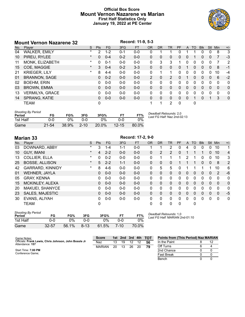### **Official Box Score Mount Vernon Nazarene vs Marian First Half Statistics Only January 19, 2022 at PE Center**



|     | <b>Mount Vernon Nazarene 32</b> |         |            |         | Record: 11-9, 5-3 |           |               |           |                |           |              |           |            |          |            |              |
|-----|---------------------------------|---------|------------|---------|-------------------|-----------|---------------|-----------|----------------|-----------|--------------|-----------|------------|----------|------------|--------------|
| No. | Player                          | S       | <b>Pts</b> | FG.     | 3FG               | <b>FT</b> | <b>OR</b>     | <b>DR</b> | <b>TR</b>      | <b>PF</b> | A            | <b>TO</b> | <b>Blk</b> | Stl      | <b>Min</b> | $+/-$        |
| 04  | <b>WALKER, EMILY</b>            | *       | 2          | $1-2$   | $0 - 1$           | $0-0$     | 0             |           |                | 0         |              |           |            | 0        | 8          | 3            |
| 10  | PIREU, RYLEE                    | $\ast$  | $\Omega$   | $0 - 4$ | $0 - 2$           | $0 - 0$   | 0             | $\Omega$  | $\Omega$       | 0         | 0            |           | 0          | $\Omega$ | 7          | $-3$         |
| 11  | MONK, ELIZABETH                 | *       | $\Omega$   | $0 - 1$ | $0 - 0$           | $0 - 0$   | 0             | 3         | 3              |           | 0            | 0         | 0          | 0        | 7          | 2            |
| 15  | COE, MAGGIE                     | $\ast$  | 3          | $0 - 4$ | $0 - 2$           | $3 - 3$   | $\Omega$      | 0         | $\mathbf{0}$   | 0         |              | $\Omega$  | 0          | $\Omega$ | 8          | $-1$         |
| 21  | <b>KRIEGER, LILY</b>            | $\star$ | 8          | $4 - 4$ | $0 - 0$           | $0 - 0$   | $\Omega$      |           | 1              | 0         | 0            | 0         | 0          | 0        | 10         | $-4$         |
| 01  | <b>BRANNON, SAGE</b>            |         | 0          | $0 - 2$ | $0 - 0$           | $0 - 0$   | $\mathcal{P}$ | 0         | $\overline{2}$ | 0         |              | $\Omega$  | 0          | 0        | 6          | $-2$         |
| 02  | <b>BOEHM, ERIN</b>              |         | 0          | $0-0$   | $0 - 0$           | $0-0$     | 0             | 0         | $\mathbf{0}$   | 0         | 0            | 0         | 0          | 0        | $\Omega$   | $\mathbf{0}$ |
| 03  | <b>BROWN, EMMA</b>              |         | 0          | $0 - 0$ | $0 - 0$           | $0 - 0$   | $\Omega$      | 0         | $\mathbf{0}$   | 0         | $\mathbf{0}$ | $\Omega$  | 0          | 0        | $\Omega$   | $\mathbf{0}$ |
| 13  | <b>VERMILYA, GRACE</b>          |         | 0          | $0 - 0$ | $0 - 0$           | $0 - 0$   | 0             | 0         | $\mathbf{0}$   | 0         | $\Omega$     | $\Omega$  | 0          | $\Omega$ | $\Omega$   | 0            |
| 14  | SPRANG, KATIE                   |         | 0          | $0 - 0$ | $0 - 0$           | $0 - 0$   | $\Omega$      | $\Omega$  | $\Omega$       | 0         | 0            |           | 0          |          | 3          | $\mathbf{0}$ |
|     | <b>TEAM</b>                     |         | 0          |         |                   |           |               | 1         | 2              | 0         |              | 0         |            |          |            |              |

| <b>Shooting By Period</b><br>Period | FG        | FG%   | 3FG      | 3FG%  | F1        | FT%   | Deadball Rebounds: 2,0<br>Last FG Half: Naz 2nd-02:13 |
|-------------------------------------|-----------|-------|----------|-------|-----------|-------|-------------------------------------------------------|
| 1st Half                            | 0-0       | ገ%    | ი-ი      | ገ%    | 0-0       | 0%    |                                                       |
| Game                                | $21 - 54$ | 38.9% | $2 - 10$ | 20.0% | $12 - 15$ | 80.0% |                                                       |

|     | <b>Marian 33</b>        | Record: 17-2, 9-0 |                |           |         |           |           |              |           |           |              |          |            |              |              |                |
|-----|-------------------------|-------------------|----------------|-----------|---------|-----------|-----------|--------------|-----------|-----------|--------------|----------|------------|--------------|--------------|----------------|
| No. | Player                  | S                 | <b>Pts</b>     | <b>FG</b> | 3FG     | <b>FT</b> | <b>OR</b> | <b>DR</b>    | <b>TR</b> | <b>PF</b> | A            | TO       | <b>Blk</b> | Stl          | Min          | $+/-$          |
| 03  | DOWNARD, ABBY           | $\ast$            | 3              | 1-4       | $1 - 1$ | $0 - 0$   |           |              | 2         | 0         | 4            | 0        | 0          | 0            | 10           | 1              |
| 10  | <b>GUY, IMANI</b>       | $^\star$          | $\overline{4}$ | $2 - 2$   | $0 - 0$ | $0 - 0$   | 0         | 2            | 2         | 0         | 1            |          | 1          | $\mathbf{0}$ | 10           | $\overline{4}$ |
| 13  | <b>COLLIER, ELLA</b>    | *                 | 0              | $0 - 2$   | $0 - 0$ | $0 - 0$   | 0         |              | 1         |           | 2            |          | 0          | 0            | 10           | 3              |
| 25  | <b>BOSSE, ALLISON</b>   | $^\star$          | 5              | $2 - 2$   | $1 - 1$ | $0 - 0$   | 0         | $\Omega$     | 0         |           |              |          | $\Omega$   | $\mathbf{0}$ | 8            | $\overline{2}$ |
| 42  | <b>GARRARD, KINNIDY</b> | $\ast$            | 8              | $4-6$     | $0 - 0$ | $0-0$     | $\Omega$  | 5            | 5         | 0         |              |          |            | 1            | 10           | 6              |
| 01  | <b>WEHNER, JAYLA</b>    |                   | $\Omega$       | $0 - 0$   | $0 - 0$ | $0 - 0$   | $\Omega$  | $\Omega$     | 0         | $\Omega$  | $\Omega$     | $\Omega$ | $\Omega$   | $\Omega$     | 2            | $-6$           |
| 05  | <b>GRAY, KENNA</b>      |                   | 0              | $0 - 0$   | $0 - 0$ | $0 - 0$   | 0         | 0            | 0         | 0         | $\mathbf 0$  | $\Omega$ | 0          | $\Omega$     | $\Omega$     | $\mathbf{0}$   |
| 15  | MCKINLEY, ALEXA         |                   | $\mathbf{0}$   | $0 - 0$   | $0 - 0$ | $0 - 0$   | $\Omega$  | $\mathbf{0}$ | 0         | 0         | $\mathbf{0}$ | $\Omega$ | $\Omega$   | $\mathbf{0}$ | $\Omega$     | $\mathbf{0}$   |
| 20  | MAKUEI, SHANYCE         |                   | 0              | $0 - 0$   | $0 - 0$ | $0 - 0$   | 0         | $\Omega$     | 0         | 0         | 0            | 0        | 0          | $\Omega$     | $\Omega$     | $\mathbf{0}$   |
| 23  | <b>SALES, MAJESTIC</b>  |                   | 0              | $0 - 0$   | $0 - 0$ | $0 - 0$   | $\Omega$  | $\Omega$     | $\Omega$  | $\Omega$  | $\Omega$     | $\Omega$ | $\Omega$   | $\Omega$     | $\mathbf{0}$ | $-5$           |
| 30  | EVANS, ALIYAH           |                   | 0              | $0 - 0$   | $0 - 0$ | $0 - 0$   | $\Omega$  | $\Omega$     | 0         | 0         | $\Omega$     | $\Omega$ | 0          | $\Omega$     | $\Omega$     | $\mathbf{0}$   |
|     | <b>TEAM</b>             |                   | 0              |           |         |           | $\Omega$  | $\Omega$     | 0         | $\Omega$  |              | 0        |            |              |              |                |

| <b>Shooting By Period</b><br>Period | FG        | FG%   | 3FG      | 3FG%  |      | FT%   |
|-------------------------------------|-----------|-------|----------|-------|------|-------|
| 1st Half                            | $0 - 0$   | ገ%    | ი-ი      | 0%    | ი-ი  | ባ%    |
| Game                                | $32 - 57$ | 56.1% | $8 - 13$ | 61.5% | 7-10 | 70.0% |

*Deadball Rebounds:* 1,0 *Last FG Half:* MARIAN 2nd-01:10

| Game Notes:                                                              | <b>Score</b>  |    |    |    |    | 1st 2nd 3rd 4th TOT | <b>Points from (This Period) Naz MARIAN</b> |    |
|--------------------------------------------------------------------------|---------------|----|----|----|----|---------------------|---------------------------------------------|----|
| Officials: Frank Lewis, Chris Johnson, John Bossle Jr<br>Attendance: 157 | Naz           | 13 | 19 | 12 |    | 56                  | In the Paint                                | 12 |
|                                                                          | <b>MARIAN</b> | 20 | 13 | 26 | 20 | 79                  | Off Turns                                   |    |
| Start Time: 7:00 PM                                                      |               |    |    |    |    |                     | 2nd Chance                                  |    |
| Conference Game:                                                         |               |    |    |    |    |                     | <b>Fast Break</b>                           |    |
|                                                                          |               |    |    |    |    |                     | Bench                                       |    |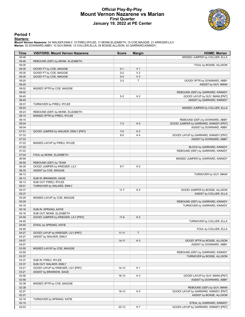### **Official Play-By-Play Mount Vernon Nazarene vs Marian First Quarter January 19, 2022 at PE Center**



### **Period 1**

<mark>Startersː</mark><br>Mount Vernon Nazarene: 04 WALKER,EMILY; 10 PIREU,RYLEE; 11 MONK,ELIZABETH; 15 COE,MAGGIE; 21 KRIEGER,LILY;<br>Marian: 03 DOWNARD,ABBY; 10 GUY,IMANI; 13 COLLIER,ELLA; 25 BOSSE,ALLISON; 42 GARRARD,KINNIDY;

| Time           | <b>VISITORS: Mount Vernon Nazarene</b>         | <b>Score</b> | <b>Margin</b>  | <b>HOME: Marian</b>                    |
|----------------|------------------------------------------------|--------------|----------------|----------------------------------------|
| 09:46          |                                                |              |                | MISSED JUMPER by COLLIER, ELLA         |
| 09:46          | REBOUND (DEF) by MONK, ELIZABETH               |              |                |                                        |
| 09:35          |                                                |              |                | FOUL by BOSSE, ALLISON                 |
| 09:35          | GOOD! FT by COE, MAGGIE                        | $0 - 1$      | V <sub>1</sub> |                                        |
| 09:35          | GOOD! FT by COE, MAGGIE                        | $0 - 2$      | V <sub>2</sub> |                                        |
| 09:35          | GOOD! FT by COE, MAGGIE                        | $0 - 3$      | $V_3$          |                                        |
| 09:20          |                                                | $3-3$        | т              | GOOD! 3PTR by DOWNARD, ABBY            |
| 09:20          |                                                |              |                | ASSIST by GUY, IMANI                   |
| 09:02          | MISSED 3PTR by COE, MAGGIE                     |              |                |                                        |
| 09:02          |                                                |              |                | REBOUND (DEF) by GARRARD, KINNIDY      |
| 08:45          |                                                | $5 - 3$      | H <sub>2</sub> | GOOD! LAYUP by GUY, IMANI [PNT]        |
| 08:45          |                                                |              |                | ASSIST by GARRARD, KINNIDY             |
| 08:37          | TURNOVER by PIREU, RYLEE                       |              |                |                                        |
| 08:23          |                                                |              |                | MISSED JUMPER by COLLIER, ELLA         |
| 08:23          | REBOUND (DEF) by MONK, ELIZABETH               |              |                |                                        |
| 08:15          | MISSED 3PTR by PIREU, RYLEE                    |              |                |                                        |
| 08:15          |                                                |              |                | REBOUND (DEF) by DOWNARD, ABBY         |
| 08:04          |                                                | $7-3$        | H4             | GOOD! JUMPER by GARRARD, KINNIDY [PNT] |
| 08:04          |                                                |              |                | ASSIST by DOWNARD, ABBY                |
| 07:51          | GOOD! JUMPER by WALKER, EMILY [PNT]            | $7 - 5$      | H <sub>2</sub> |                                        |
| 07:33          |                                                | $9 - 5$      | H4             | GOOD! LAYUP by GARRARD, KINNIDY [PNT]  |
| 07:33          |                                                |              |                | ASSIST by DOWNARD, ABBY                |
| 07:22          | MISSED LAYUP by PIREU, RYLEE                   |              |                |                                        |
| 07:22          |                                                |              |                | BLOCK by GARRARD, KINNIDY              |
| 07:22          |                                                |              |                | REBOUND (DEF) by GARRARD, KINNIDY      |
| 07:04          | FOUL by MONK, ELIZABETH                        |              |                |                                        |
| 06:59          |                                                |              |                | MISSED JUMPER by GARRARD, KINNIDY      |
| 06:59          | REBOUND (DEF) by TEAM                          | $9 - 7$      | H <sub>2</sub> |                                        |
| 06:35          | GOOD! JUMPER by KRIEGER, LILY                  |              |                |                                        |
| 06:35          | ASSIST by COE, MAGGIE                          |              |                |                                        |
| 06:13<br>06:13 |                                                |              |                | TURNOVER by GUY, IMANI                 |
| 06:13          | SUB IN: BRANNON, SAGE<br>SUB OUT: PIREU, RYLEE |              |                |                                        |
| 06:01          |                                                |              |                |                                        |
| 05:37          | TURNOVER by WALKER, EMILY                      | $11 - 7$     | H4             | GOOD! JUMPER by BOSSE, ALLISON         |
| 05:37          |                                                |              |                | ASSIST by COLLIER, ELLA                |
| 05:29          | MISSED LAYUP by COE, MAGGIE                    |              |                |                                        |
| 05:29          |                                                |              |                | REBOUND (DEF) by GARRARD, KINNIDY      |
| 05:16          |                                                |              |                | TURNOVER by GARRARD, KINNIDY           |
| 05:16          | SUB IN: SPRANG, KATIE                          |              |                |                                        |
| 05:16          | SUB OUT: MONK, ELIZABETH                       |              |                |                                        |
| 04:59          | GOOD! JUMPER by KRIEGER, LILY [PNT]            | $11-9$       | H <sub>2</sub> |                                        |
| 04:40          |                                                |              |                | TURNOVER by COLLIER, ELLA              |
| 04:40          | STEAL by SPRANG, KATIE                         |              |                |                                        |
| 04:40          |                                                |              |                | FOUL by COLLIER, ELLA                  |
| 04:27          | GOOD! LAYUP by KRIEGER, LILY [PNT]             | $11 - 11$    | T              |                                        |
| 04:27          | ASSIST by WALKER, EMILY                        |              |                |                                        |
| 04:07          |                                                | $14 - 11$    | $H_3$          | GOOD! 3PTR by BOSSE, ALLISON           |
| 04:07          |                                                |              |                | ASSIST by DOWNARD, ABBY                |
| 03:55          | MISSED LAYUP by COE, MAGGIE                    |              |                |                                        |
| 03:55          |                                                |              |                | REBOUND (DEF) by GARRARD, KINNIDY      |
| 03:37          |                                                |              |                | TURNOVER by BOSSE, ALLISON             |
| 03:37          | SUB IN: PIREU, RYLEE                           |              |                |                                        |
| 03:37          | SUB OUT: WALKER, EMILY                         |              |                |                                        |
| 03:21          | GOOD! LAYUP by KRIEGER, LILY [PNT]             | $14 - 13$    | H <sub>1</sub> |                                        |
| 03:21          | ASSIST by BRANNON, SAGE                        |              |                |                                        |
| 02:56          |                                                | 16-13        | H <sub>3</sub> | GOOD! LAYUP by GUY, IMANI [PNT]        |
| 02:56          |                                                |              |                | ASSIST by DOWNARD, ABBY                |
| 02:38          | MISSED 3PTR by COE, MAGGIE                     |              |                |                                        |
| 02:38          |                                                |              |                | REBOUND (DEF) by GUY, IMANI            |
| 02:27          |                                                | $18 - 13$    | H <sub>5</sub> | GOOD! LAYUP by GARRARD, KINNIDY [PNT]  |
| 02:27          |                                                |              |                | ASSIST by BOSSE, ALLISON               |
| 02:16          | TURNOVER by SPRANG, KATIE                      |              |                |                                        |
| 02:15          |                                                |              |                | STEAL by GARRARD, KINNIDY              |
| 02:03          |                                                | $20 - 13$    | H 7            | GOOD! LAYUP by GARRARD, KINNIDY [PNT]  |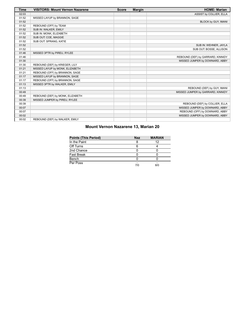| <b>Time</b> | <b>VISITORS: Mount Vernon Nazarene</b> | <b>Score</b> | <b>Margin</b> | <b>HOME: Marian</b>               |
|-------------|----------------------------------------|--------------|---------------|-----------------------------------|
| 02:03       |                                        |              |               | ASSIST by COLLIER, ELLA           |
| 01:52       | MISSED LAYUP by BRANNON, SAGE          |              |               |                                   |
| 01:52       |                                        |              |               | BLOCK by GUY, IMANI               |
| 01:52       | REBOUND (OFF) by TEAM                  |              |               |                                   |
| 01:52       | SUB IN: WALKER, EMILY                  |              |               |                                   |
| 01:52       | SUB IN: MONK, ELIZABETH                |              |               |                                   |
| 01:52       | SUB OUT: COE, MAGGIE                   |              |               |                                   |
| 01:52       | SUB OUT: SPRANG, KATIE                 |              |               |                                   |
| 01:52       |                                        |              |               | SUB IN: WEHNER, JAYLA             |
| 01:52       |                                        |              |               | SUB OUT: BOSSE, ALLISON           |
| 01:46       | MISSED 3PTR by PIREU, RYLEE            |              |               |                                   |
| 01:46       |                                        |              |               | REBOUND (DEF) by GARRARD, KINNIDY |
| 01:30       |                                        |              |               | MISSED JUMPER by DOWNARD, ABBY    |
| 01:30       | REBOUND (DEF) by KRIEGER, LILY         |              |               |                                   |
| 01:21       | MISSED LAYUP by MONK, ELIZABETH        |              |               |                                   |
| 01:21       | REBOUND (OFF) by BRANNON, SAGE         |              |               |                                   |
| 01:17       | MISSED LAYUP by BRANNON, SAGE          |              |               |                                   |
| 01:17       | REBOUND (OFF) by BRANNON, SAGE         |              |               |                                   |
| 01:13       | MISSED 3PTR by WALKER, EMILY           |              |               |                                   |
| 01:13       |                                        |              |               | REBOUND (DEF) by GUY, IMANI       |
| 00:49       |                                        |              |               | MISSED JUMPER by GARRARD, KINNIDY |
| 00:49       | REBOUND (DEF) by MONK, ELIZABETH       |              |               |                                   |
| 00:39       | MISSED JUMPER by PIREU, RYLEE          |              |               |                                   |
| 00:39       |                                        |              |               | REBOUND (DEF) by COLLIER, ELLA    |
| 00:07       |                                        |              |               | MISSED JUMPER by DOWNARD, ABBY    |
| 00:07       |                                        |              |               | REBOUND (OFF) by DOWNARD, ABBY    |
| 00:02       |                                        |              |               | MISSED JUMPER by DOWNARD, ABBY    |
| 00:02       | REBOUND (DEF) by WALKER, EMILY         |              |               |                                   |

### **Mount Vernon Nazarene 13, Marian 20**

| <b>Points (This Period)</b> | <b>Naz</b> | <b>MARIAN</b> |
|-----------------------------|------------|---------------|
| In the Paint                |            | 12            |
| Off Turns                   |            |               |
| 2nd Chance                  |            |               |
| Fast Break                  |            |               |
| Bench                       |            |               |
| Per Poss                    | 7/0        | 8/0           |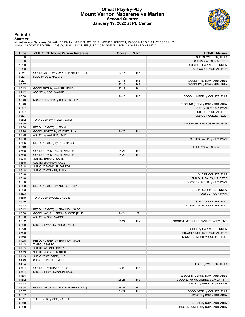### **Official Play-By-Play Mount Vernon Nazarene vs Marian Second Quarter January 19, 2022 at PE Center**



### **Period 2**

### **Starters:**

Mount Vernon Nazarene: 04 WALKER,EMILY; 10 PIREU,RYLEE; 11 MONK,ELIZABETH; 15 COE,MAGGIE; 21 KRIEGER,LILY;<br>Marian: 03 DOWNARD,ABBY; 10 GUY,IMANI; 13 COLLIER,ELLA; 25 BOSSE,ALLISON; 42 GARRARD,KINNIDY;

| Time           | <b>VISITORS: Mount Vernon Nazarene</b> | <b>Score</b> | <b>Margin</b>  | <b>HOME: Marian</b>                 |
|----------------|----------------------------------------|--------------|----------------|-------------------------------------|
| 10:00          |                                        |              |                | SUB IN: WEHNER, JAYLA               |
| 10:00          |                                        |              |                | SUB IN: SALES, MAJESTIC             |
| 10:00          |                                        |              |                | SUB OUT: GARRARD, KINNIDY           |
| 10:00          |                                        |              |                | SUB OUT: BOSSE, ALLISON             |
| 09:51          | GOOD! LAYUP by MONK, ELIZABETH [PNT]   | $20 - 15$    | H <sub>5</sub> |                                     |
| 09:27          | FOUL by COE, MAGGIE                    |              |                |                                     |
| 09:27          |                                        | $21 - 15$    | H <sub>6</sub> | GOOD! FT by DOWNARD, ABBY           |
| 09:27          |                                        | $22 - 15$    | H <sub>7</sub> | GOOD! FT by DOWNARD, ABBY           |
| 09:12          | GOOD! 3PTR by WALKER, EMILY            | $22 - 18$    | H4             |                                     |
| 09:12          | ASSIST by COE, MAGGIE                  |              |                |                                     |
| 08:58          |                                        | $24 - 18$    | H <sub>6</sub> | GOOD! JUMPER by COLLIER, ELLA       |
| 08:40<br>08:40 | MISSED JUMPER by KRIEGER, LILY         |              |                | REBOUND (DEF) by DOWNARD, ABBY      |
| 08:27          |                                        |              |                | TURNOVER by GUY, IMANI              |
| 08:27          |                                        |              |                | SUB IN: BOSSE, ALLISON              |
| 08:27          |                                        |              |                | SUB OUT: COLLIER, ELLA              |
| 08:12          | TURNOVER by WALKER, EMILY              |              |                |                                     |
| 07:50          |                                        |              |                | MISSED 3PTR by BOSSE, ALLISON       |
| 07:50          | REBOUND (DEF) by TEAM                  |              |                |                                     |
| 07:26          | GOOD! JUMPER by KRIEGER, LILY          | 24-20        | H4             |                                     |
| 07:26          | ASSIST by WALKER, EMILY                |              |                |                                     |
| 07:06          |                                        |              |                | MISSED LAYUP by GUY, IMANI          |
| 07:06          | REBOUND (DEF) by COE, MAGGIE           |              |                |                                     |
| 06:48          |                                        |              |                | FOUL by SALES, MAJESTIC             |
| 06:48          | GOOD! FT by MONK, ELIZABETH            | 24-21        | $H_3$          |                                     |
| 06:48          | GOOD! FT by MONK, ELIZABETH            | $24-22$      | H <sub>2</sub> |                                     |
| 06:48          | SUB IN: SPRANG, KATIE                  |              |                |                                     |
| 06:48          | SUB IN: BRANNON, SAGE                  |              |                |                                     |
| 06:48          | SUB OUT: MONK, ELIZABETH               |              |                |                                     |
| 06:48          | SUB OUT: WALKER, EMILY                 |              |                |                                     |
| 06:48          |                                        |              |                | SUB IN: COLLIER, ELLA               |
| 06:48          |                                        |              |                | SUB OUT: SALES, MAJESTIC            |
| 06:30          |                                        |              |                | MISSED JUMPER by GUY, IMANI         |
| 06:30          | REBOUND (DEF) by KRIEGER, LILY         |              |                |                                     |
| 06:23          |                                        |              |                | SUB IN: GARRARD, KINNIDY            |
| 06:23          |                                        |              |                | SUB OUT: GUY, IMANI                 |
| 06:19          | TURNOVER by COE, MAGGIE                |              |                |                                     |
| 06:19          |                                        |              |                | STEAL by COLLIER, ELLA              |
| 06:12          |                                        |              |                | MISSED 3PTR by COLLIER, ELLA        |
| 06:12          | REBOUND (DEF) by BRANNON, SAGE         |              |                |                                     |
| 06:06          | GOOD! LAYUP by SPRANG, KATIE [PNT]     | 24-24        | T              |                                     |
| 06:06          | ASSIST by COE, MAGGIE                  |              |                |                                     |
| 05:32          |                                        | 26-24        | H <sub>2</sub> | GOOD! JUMPER by DOWNARD, ABBY [PNT] |
| 05:20          | MISSED LAYUP by PIREU, RYLEE           |              |                |                                     |
| 05:20          |                                        |              |                | BLOCK by GARRARD, KINNIDY           |
| 05:20          |                                        |              |                | REBOUND (DEF) by BOSSE, ALLISON     |
| 04:58          |                                        |              |                | MISSED JUMPER by COLLIER, ELLA      |
| 04:58          | REBOUND (DEF) by BRANNON, SAGE         |              |                |                                     |
| 04:43          | TIMEOUT 30SEC                          |              |                |                                     |
| 04:43          | SUB IN: WALKER, EMILY                  |              |                |                                     |
| 04:43          | SUB IN: MONK, ELIZABETH                |              |                |                                     |
| 04:43          | SUB OUT: KRIEGER, LILY                 |              |                |                                     |
| 04:43          | SUB OUT: PIREU, RYLEE                  |              |                |                                     |
| 04:34          |                                        |              |                | FOUL by WEHNER, JAYLA               |
| 04:34          | GOOD! FT by BRANNON, SAGE              | 26-25        | H <sub>1</sub> |                                     |
| 04:34          | MISSED FT by BRANNON, SAGE             |              |                |                                     |
| 04:34          |                                        |              |                | REBOUND (DEF) by DOWNARD, ABBY      |
| 04:12          |                                        | 28-25        | $H_3$          | GOOD! LAYUP by WEHNER, JAYLA [PNT]  |
| 04:12          |                                        |              |                | ASSIST by GARRARD, KINNIDY          |
| 03:58          | GOOD! LAYUP by MONK, ELIZABETH [PNT]   | 28-27        | H <sub>1</sub> |                                     |
| 03:37          |                                        | $31 - 27$    | H4             | GOOD! 3PTR by COLLIER, ELLA         |
| 03:37          |                                        |              |                | ASSIST by DOWNARD, ABBY             |
| 03:11<br>03:10 | TURNOVER by COE, MAGGIE                |              |                |                                     |
|                |                                        |              |                | STEAL by DOWNARD, ABBY              |
| 03:08          |                                        |              |                | MISSED JUMPER by DOWNARD, ABBY      |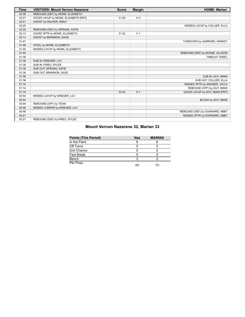| <b>Time</b> | <b>VISITORS: Mount Vernon Nazarene</b> | <b>Score</b> | <b>Margin</b>  | <b>HOME: Marian</b>             |
|-------------|----------------------------------------|--------------|----------------|---------------------------------|
| 03:08       | REBOUND (DEF) by MONK, ELIZABETH       |              |                |                                 |
| 02:51       | GOOD! LAYUP by MONK, ELIZABETH [PNT]   | 31-29        | H <sub>2</sub> |                                 |
| 02:51       | ASSIST by WALKER, EMILY                |              |                |                                 |
| 02:25       |                                        |              |                | MISSED LAYUP by COLLIER, ELLA   |
| 02:25       | REBOUND (DEF) by SPRANG, KATIE         |              |                |                                 |
| 02:13       | GOOD! 3PTR by MONK, ELIZABETH          | $31 - 32$    | V <sub>1</sub> |                                 |
| 02:13       | ASSIST by BRANNON, SAGE                |              |                |                                 |
| 01:47       |                                        |              |                | TURNOVER by GARRARD, KINNIDY    |
| 01:46       | STEAL by MONK, ELIZABETH               |              |                |                                 |
| 01:40       | MISSED LAYUP by MONK, ELIZABETH        |              |                |                                 |
| 01:40       |                                        |              |                | REBOUND (DEF) by BOSSE, ALLISON |
| 01:36       |                                        |              |                | TIMEOUT 30SEC                   |
| 01:36       | SUB IN: KRIEGER, LILY                  |              |                |                                 |
| 01:36       | SUB IN: PIREU, RYLEE                   |              |                |                                 |
| 01:36       | SUB OUT: SPRANG, KATIE                 |              |                |                                 |
| 01:36       | SUB OUT: BRANNON, SAGE                 |              |                |                                 |
| 01:36       |                                        |              |                | SUB IN: GUY, IMANI              |
| 01:36       |                                        |              |                | SUB OUT: COLLIER, ELLA          |
| 01:14       |                                        |              |                | MISSED 3PTR by WEHNER, JAYLA    |
| 01:14       |                                        |              |                | REBOUND (OFF) by GUY, IMANI     |
| 01:10       |                                        | 33-32        | H <sub>1</sub> | GOOD! LAYUP by GUY, IMANI [PNT] |
| 00:54       | MISSED LAYUP by KRIEGER, LILY          |              |                |                                 |
| 00:54       |                                        |              |                | BLOCK by GUY, IMANI             |
| 00:54       | REBOUND (OFF) by TEAM                  |              |                |                                 |
| 00:46       | MISSED JUMPER by KRIEGER, LILY         |              |                |                                 |
| 00:46       |                                        |              |                | REBOUND (DEF) by DOWNARD, ABBY  |
| 00:21       |                                        |              |                | MISSED 3PTR by DOWNARD, ABBY    |
| 00:21       | REBOUND (DEF) by PIREU, RYLEE          |              |                |                                 |

### **Mount Vernon Nazarene 32, Marian 33**

| <b>Points (This Period)</b> | <b>Naz</b> | <b>MARIAN</b> |
|-----------------------------|------------|---------------|
| In the Paint                |            |               |
| Off Turns                   |            |               |
| 2nd Chance                  |            |               |
| Fast Break                  |            |               |
| Bench                       |            |               |
| Per Poss                    | 9/0        | 7/0           |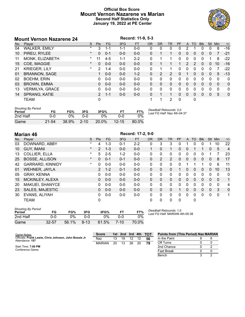### **Official Box Score Mount Vernon Nazarene vs Marian Second Half Statistics Only January 19, 2022 at PE Center**



### **Mount Vernon Nazarene 24 Record: 11-9, 5-3**<br>No. Player **Record: 11-9, 5-3**<br>Record: The Record: The Record: The Record: The Record: The Record No. Player S Pts FG 3FG FT OR DR TR PF A TO Blk Stl Min +/- 04 WALKER, EMILY \* 3 1-1 1-1 0-0 0 0 0 0 2 1 0 0 8 -16 10 PIREU, RYLEE \* 0 0-1 0-0 0-0 0 1 1 0 0 0 0 0 7 -21 11 MONK, ELIZABETH \* 11 4-5 1-1 2-2 0 1 1 0 0 0 0 1 8 -22 15 COE, MAGGIE \* 0 0-0 0-0 0-0 0 1 1 1 2 2 0 0 10 -16 21 KRIEGER, LILY \* 2 1-4 0-0 0-0 0 1 1 0 0 0 0 0 7 -22 01 BRANNON, SAGE 1 0-0 0-0 1-2 0 2 2 0 1 0 0 0 5 -13 02 BOEHM, ERIN 0 0-0 0-0 0-0 0 0 0 0 0 0 0 0 0 0 03 BROWN, EMMA 0 0-0 0-0 0-0 0 0 0 0 0 0 0 0 0 0 13 VERMILYA, GRACE 0 0-0 0-0 0-0 0 0 0 0 0 0 0 0 0 0 14 SPRANG, KATIE 2 1-1 0-0 0-0 0 1 1 0 0 0 0 0 5 0 TEAM 0 1 1 2 0 0

| <b>Shooting By Period</b><br>Period | FG        | FG%   | 3FG      | 3FG%     | F٦        | FT%   | Deadball Rebounds: 2,0<br>Last FG Half: Naz 4th-04:37 |
|-------------------------------------|-----------|-------|----------|----------|-----------|-------|-------------------------------------------------------|
| 2nd Half                            | 0-0       | ገ%    | ი-ი      | ገ%       | ი-ი       | $0\%$ |                                                       |
| Game                                | $21 - 54$ | 38.9% | $2 - 10$ | $20.0\%$ | $12 - 15$ | 80.0% |                                                       |

### **Marian 46 Record: 17-2, 9-0**<br> **Record: 17-2, 9-0**<br> **Record: 17-2, 9-0**<br> **Record: 17-2, 9-0** No. Player S Pts FG 3FG FT OR DR TR PF A TO Blk Stl Min +/- 03 DOWNARD, ABBY \* 4 1-3 0-1 2-2 0 3 3 0 1 0 0 1 10 22 10 GUY, IMANI \* 2 1-3 0-0 0-0 1 0 1 0 0 1 1 0 5 4 13 COLLIER, ELLA \* 5 2-5 1-2 0-0 0 0 0 0 0 0 0 1 7 23 25 BOSSE, ALLISON \* 0 0-1 0-1 0-0 0 2 2 0 0 0 0 0 8 17 42 GARRARD, KINNIDY \* 0 0-0 0-0 0-0 0 0 0 0 1 1 1 0 6 11 01 WEHNER, JAYLA 2 1-2 0-1 0-0 0 0 0 1 0 0 0 0 10 13 05 GRAY, KENNA 0 0-0 0-0 0-0 0 0 0 0 0 0 0 0 0 0 15 MCKINLEY, ALEXA 0 0-0 0-0 0-0 0 0 0 0 0 0 0 0 0 1 20 MAKUEI, SHANYCE 0 0-0 0-0 0-0 0 0 0 0 0 0 0 0 0 4 23 SALES, MAJESTIC 0 0-0 0-0 0-0 0 0 0 1 0 0 0 0 3 0 30 EVANS, ALIYAH 0 0-0 0-0 0-0 0 0 0 0 0 0 0 0 0 1 TEAM 0 0 0 0 0 0

| <b>Shooting By Period</b><br>Period | FG        | FG%   | 3FG      | 3FG%  |          | FT%   |
|-------------------------------------|-----------|-------|----------|-------|----------|-------|
| 2nd Half                            | ი-ი       | $0\%$ | ი-ი      | 0%    | ი-ი      | 0%    |
| Game                                | $32 - 57$ | 56.1% | $8 - 13$ | 61.5% | $7 - 10$ | 70.0% |

*Last FG Half:* MARIAN 4th-00:38

Bench 3 2

**Points from (This Period) Naz MARIAN**

| Game Notes:                                                              | <b>Score</b>  | 1st l | 2nd 3rd 4th |    |    | <b>TOT</b> | <b>Points from (This Period) Naz MAR</b> |        |
|--------------------------------------------------------------------------|---------------|-------|-------------|----|----|------------|------------------------------------------|--------|
| Officials: Frank Lewis, Chris Johnson, John Bossle Jr<br>Attendance: 157 | Naz           | 13    | 19          | 12 |    | 56         | In the Paint                             |        |
|                                                                          | <b>MARIAN</b> | 20    | 13          | 26 | 20 | 79         | Off Turns                                | 0      |
| Start Time: 7:00 PM                                                      |               |       |             |    |    |            | 2nd Chance                               | $\sim$ |
| Conference Game:                                                         |               |       |             |    |    |            | <b>Fast Break</b>                        |        |

### *Deadball Rebounds:* 1,0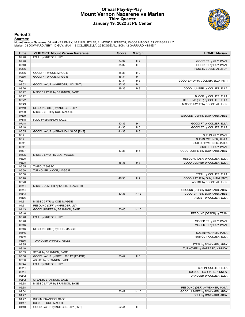### **Official Play-By-Play Mount Vernon Nazarene vs Marian Third Quarter January 19, 2022 at PE Center**



### **Period 3**

<mark>Startersː</mark><br>Mount Vernon Nazarene: 04 WALKER,EMILY; 10 PIREU,RYLEE; 11 MONK,ELIZABETH; 15 COE,MAGGIE; 21 KRIEGER,LILY;<br>Marian: 03 DOWNARD,ABBY; 10 GUY,IMANI; 13 COLLIER,ELLA; 25 BOSSE,ALLISON; 42 GARRARD,KINNIDY;

| <b>Time</b>    | <b>VISITORS: Mount Vernon Nazarene</b> | <b>Score</b> | <b>Margin</b>  | <b>HOME: Marian</b>                |
|----------------|----------------------------------------|--------------|----------------|------------------------------------|
| 09:48          | FOUL by KRIEGER, LILY                  |              |                |                                    |
| 09:48          |                                        | 34-32        | H <sub>2</sub> | GOOD! FT by GUY, IMANI             |
| 09:48          |                                        | 35-32        | $H_3$          | GOOD! FT by GUY, IMANI             |
| 09:36          |                                        |              |                | FOUL by BOSSE, ALLISON             |
| 09:36          | GOOD! FT by COE, MAGGIE                | 35-33        | H <sub>2</sub> |                                    |
| 09:36          | GOOD! FT by COE, MAGGIE                | 35-34        | H <sub>1</sub> |                                    |
| 09:11          |                                        | 37-34        | $H_3$          | GOOD! LAYUP by COLLIER, ELLA [PNT] |
| 08:52          | GOOD! LAYUP by KRIEGER, LILY [PNT]     | 37-36        | H <sub>1</sub> |                                    |
| 08:26          |                                        | 39-36        | $H_3$          | GOOD! JUMPER by COLLIER, ELLA      |
| 08:22          | MISSED LAYUP by BRANNON, SAGE          |              |                |                                    |
| 08:22          |                                        |              |                | BLOCK by COLLIER, ELLA             |
| 08:22          |                                        |              |                | REBOUND (DEF) by COLLIER, ELLA     |
| 07:49          |                                        |              |                | MISSED LAYUP by BOSSE, ALLISON     |
| 07:49          | REBOUND (DEF) by KRIEGER, LILY         |              |                |                                    |
| 07:39<br>07:39 | MISSED 3PTR by COE, MAGGIE             |              |                |                                    |
| 07:18          | FOUL by BRANNON, SAGE                  |              |                | REBOUND (DEF) by DOWNARD, ABBY     |
| 07:18          |                                        | 40-36        | H4             | GOOD! FT by COLLIER, ELLA          |
| 07:18          |                                        | 41-36        | H <sub>5</sub> | GOOD! FT by COLLIER, ELLA          |
| 06:55          | GOOD! LAYUP by BRANNON, SAGE [PNT]     | 41-38        | $H_3$          |                                    |
| 06:41          |                                        |              |                | SUB IN: GUY, IMANI                 |
| 06:41          |                                        |              |                | SUB IN: WEHNER, JAYLA              |
| 06:41          |                                        |              |                | SUB OUT: WEHNER, JAYLA             |
| 06:41          |                                        |              |                | SUB OUT: GUY, IMANI                |
| 06:37          |                                        | 43-38        | H <sub>5</sub> | GOOD! JUMPER by DOWNARD, ABBY      |
| 06:25          | MISSED LAYUP by COE, MAGGIE            |              |                |                                    |
| 06:25          |                                        |              |                | REBOUND (DEF) by COLLIER, ELLA     |
| 06:08          |                                        | 45-38        | H7             | GOOD! JUMPER by COLLIER, ELLA      |
| 05:55          | TIMEOUT 30SEC                          |              |                |                                    |
| 05:50          | TURNOVER by COE, MAGGIE                |              |                |                                    |
| 05:50          |                                        |              |                | STEAL by COLLIER, ELLA             |
| 05:28          |                                        | 47-38        | H9             | GOOD! LAYUP by GUY, IMANI [PNT]    |
| 05:28          |                                        |              |                | ASSIST by BOSSE, ALLISON           |
| 05:14          | MISSED JUMPER by MONK, ELIZABETH       |              |                |                                    |
| 05:14          |                                        |              |                | REBOUND (DEF) by DOWNARD, ABBY     |
| 04:43          |                                        | 50-38        | H 12           | GOOD! 3PTR by DOWNARD, ABBY        |
| 04:36          |                                        |              |                | ASSIST by COLLIER, ELLA            |
| 04:31          | MISSED 3PTR by COE, MAGGIE             |              |                |                                    |
| 04:31          | REBOUND (OFF) by KRIEGER, LILY         |              |                |                                    |
| 04:13          | GOOD! JUMPER by BRANNON, SAGE          | 50-40        | H 10           |                                    |
| 03:46          |                                        |              |                | REBOUND (DEADB) by TEAM            |
| 03:46          | FOUL by KRIEGER, LILY                  |              |                |                                    |
| 03:46          |                                        |              |                | MISSED FT by GUY, IMANI            |
| 03:46          |                                        |              |                | MISSED FT by GUY, IMANI            |
| 03:46          | REBOUND (DEF) by COE, MAGGIE           |              |                | SUB IN: WEHNER, JAYLA              |
| 03:46<br>03:46 |                                        |              |                | SUB OUT: COLLIER, ELLA             |
| 03:36          | TURNOVER by PIREU, RYLEE               |              |                |                                    |
| 03:35          |                                        |              |                | STEAL by DOWNARD, ABBY             |
| 03:10          |                                        |              |                | TURNOVER by GARRARD, KINNIDY       |
| 03:09          | STEAL by BRANNON, SAGE                 |              |                |                                    |
| 03:06          | GOOD! LAYUP by PIREU, RYLEE [FB/PNT]   | $50 - 42$    | H 8            |                                    |
| 03:06          | ASSIST by BRANNON, SAGE                |              |                |                                    |
| 02:44          | FOUL by KRIEGER, LILY                  |              |                |                                    |
| 02:44          |                                        |              |                | SUB IN: COLLIER, ELLA              |
| 02:44          |                                        |              |                | SUB OUT: GARRARD, KINNIDY          |
| 02:42          |                                        |              |                | TURNOVER by COLLIER, ELLA          |
| 02:42          | STEAL by BRANNON, SAGE                 |              |                |                                    |
| 02:38          | MISSED LAYUP by BRANNON, SAGE          |              |                |                                    |
| 02:38          |                                        |              |                | REBOUND (DEF) by WEHNER, JAYLA     |
| 02:04          |                                        | 52-42        | H 10           | GOOD! JUMPER by DOWNARD, ABBY      |
| 01:47          |                                        |              |                | FOUL by DOWNARD, ABBY              |
| 01:47          | SUB IN: BRANNON, SAGE                  |              |                |                                    |
| 01:47          | SUB OUT: COE, MAGGIE                   |              |                |                                    |
| 01:40          | GOOD! LAYUP by KRIEGER, LILY [PNT]     | 52-44        | H <sub>8</sub> |                                    |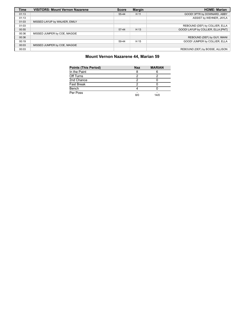| <b>Time</b> | <b>VISITORS: Mount Vernon Nazarene</b> | <b>Score</b> | <b>Margin</b> | <b>HOME: Marian</b>                |
|-------------|----------------------------------------|--------------|---------------|------------------------------------|
| 01:13       |                                        | 55-44        | H 11          | GOOD! 3PTR by DOWNARD, ABBY        |
| 01:13       |                                        |              |               | ASSIST by WEHNER, JAYLA            |
| 01:03       | MISSED LAYUP by WALKER, EMILY          |              |               |                                    |
| 01:03       |                                        |              |               | REBOUND (DEF) by COLLIER, ELLA     |
| 00:55       |                                        | $57 - 44$    | H 13          | GOOD! LAYUP by COLLIER, ELLA [PNT] |
| 00:36       | MISSED JUMPER by COE, MAGGIE           |              |               |                                    |
| 00:36       |                                        |              |               | REBOUND (DEF) by GUY, IMANI        |
| 00:19       |                                        | 59-44        | H 15          | GOOD! JUMPER by COLLIER, ELLA      |
| 00:03       | MISSED JUMPER by COE, MAGGIE           |              |               |                                    |
| 00:03       |                                        |              |               | REBOUND (DEF) by BOSSE, ALLISON    |

### **Mount Vernon Nazarene 44, Marian 59**

| <b>Points (This Period)</b> | <b>Naz</b> | <b>MARIAN</b> |
|-----------------------------|------------|---------------|
| In the Paint                | 8          |               |
| Off Turns                   |            |               |
| 2nd Chance                  |            |               |
| <b>Fast Break</b>           | っ          |               |
| Bench                       |            |               |
| Per Poss                    | 8/0        | 14/0          |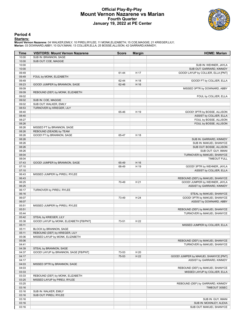### **Official Play-By-Play Mount Vernon Nazarene vs Marian Fourth Quarter January 19, 2022 at PE Center**



**Period 4**

<mark>Startersː</mark><br>Mount Vernon Nazarene: 04 WALKER,EMILY; 10 PIREU,RYLEE; 11 MONK,ELIZABETH; 15 COE,MAGGIE; 21 KRIEGER,LILY;<br>Marian: 03 DOWNARD,ABBY; 10 GUY,IMANI; 13 COLLIER,ELLA; 25 BOSSE,ALLISON; 42 GARRARD,KINNIDY;

| Time           | <b>VISITORS: Mount Vernon Nazarene</b>  | <b>Score</b> | <b>Margin</b> | <b>HOME: Marian</b>                                               |
|----------------|-----------------------------------------|--------------|---------------|-------------------------------------------------------------------|
| 10:00          | SUB IN: BRANNON, SAGE                   |              |               |                                                                   |
| 10:00          | SUB OUT: COE, MAGGIE                    |              |               |                                                                   |
| 10:00          |                                         |              |               | SUB IN: WEHNER, JAYLA                                             |
| 10:00          |                                         |              |               | SUB OUT: GARRARD, KINNIDY                                         |
| 09:49          |                                         | 61-44        | H 17          | GOOD! LAYUP by COLLIER, ELLA [PNT]                                |
| 09:49          | FOUL by MONK, ELIZABETH                 |              |               |                                                                   |
| 09:49          |                                         | 62-44        | H 18          | GOOD! FT by COLLIER, ELLA                                         |
| 09:23<br>09:09 | GOOD! JUMPER by BRANNON, SAGE           | 62-46        | H 16          | MISSED 3PTR by DOWNARD, ABBY                                      |
| 09:09          | REBOUND (DEF) by MONK, ELIZABETH        |              |               |                                                                   |
| 09:02          |                                         |              |               | FOUL by COLLIER, ELLA                                             |
| 09:02          | SUB IN: COE, MAGGIE                     |              |               |                                                                   |
| 09:02          | SUB OUT: WALKER, EMILY                  |              |               |                                                                   |
| 08:53          | TURNOVER by KRIEGER, LILY               |              |               |                                                                   |
| 08:40          |                                         | 65-46        | H 19          | GOOD! 3PTR by BOSSE, ALLISON                                      |
| 08:40          |                                         |              |               | ASSIST by COLLIER, ELLA                                           |
| 08:27          |                                         |              |               | FOUL by BOSSE, ALLISON                                            |
| 08:26          |                                         |              |               | FOUL by BOSSE, ALLISON                                            |
| 08:26          | MISSED FT by BRANNON, SAGE              |              |               |                                                                   |
| 08:26          | REBOUND (DEADB) by TEAM                 |              |               |                                                                   |
| 08:26          | GOOD! FT by BRANNON, SAGE               | 65-47        | H 18          |                                                                   |
| 08:26          |                                         |              |               | SUB IN: GARRARD, KINNIDY                                          |
| 08:26          |                                         |              |               | SUB IN: MAKUEI, SHANYCE                                           |
| 08:26<br>08:26 |                                         |              |               | SUB OUT: BOSSE, ALLISON<br>SUB OUT: GUY, IMANI                    |
| 08:04          |                                         |              |               | TURNOVER by MAKUEI, SHANYCE                                       |
| 08:04          |                                         |              |               | <b>TIMEOUT FULL</b>                                               |
| 07:43          | GOOD! JUMPER by BRANNON, SAGE           | 65-49        | H 16          |                                                                   |
| 07:10          |                                         | 68-49        | H 19          | GOOD! 3PTR by WEHNER, JAYLA                                       |
| 07:10          |                                         |              |               | ASSIST by COLLIER, ELLA                                           |
| 06:43          | MISSED JUMPER by PIREU, RYLEE           |              |               |                                                                   |
| 06:43          |                                         |              |               | REBOUND (DEF) by MAKUEI, SHANYCE                                  |
| 06:25          |                                         | 70-49        | H 21          | GOOD! JUMPER by WEHNER, JAYLA                                     |
| 06:25          |                                         |              |               | ASSIST by GARRARD, KINNIDY                                        |
| 06:17          | TURNOVER by PIREU, RYLEE                |              |               |                                                                   |
| 06:16          |                                         |              |               | STEAL by MAKUEI, SHANYCE                                          |
| 06:07          |                                         | 73-49        | H 24          | GOOD! 3PTR by MAKUEI, SHANYCE                                     |
| 06:07          |                                         |              |               | ASSIST by DOWNARD, ABBY                                           |
| 05:51<br>05:51 | MISSED JUMPER by PIREU, RYLEE           |              |               | REBOUND (DEF) by MAKUEI, SHANYCE                                  |
| 05:44          |                                         |              |               | TURNOVER by MAKUEI, SHANYCE                                       |
| 05:42          | STEAL by KRIEGER, LILY                  |              |               |                                                                   |
| 05:38          | GOOD! LAYUP by MONK, ELIZABETH [FB/PNT] | 73-51        | H 22          |                                                                   |
| 05:11          |                                         |              |               | MISSED JUMPER by COLLIER, ELLA                                    |
| 05:11          | BLOCK by BRANNON, SAGE                  |              |               |                                                                   |
| 05:11          | REBOUND (DEF) by KRIEGER, LILY          |              |               |                                                                   |
| 05:06          | MISSED LAYUP by MONK, ELIZABETH         |              |               |                                                                   |
| 05:06          |                                         |              |               | REBOUND (DEF) by MAKUEI, SHANYCE                                  |
| 04:41          |                                         |              |               | TURNOVER by MAKUEI, SHANYCE                                       |
| 04:39          | STEAL by BRANNON, SAGE                  |              |               |                                                                   |
| 04:37          | GOOD! LAYUP by BRANNON, SAGE [FB/PNT]   | 73-53        | H 20          |                                                                   |
| 04:17          |                                         | 75-53        | H 22          | GOOD! JUMPER by MAKUEI, SHANYCE [PNT]                             |
| 04:17          |                                         |              |               | ASSIST by GARRARD, KINNIDY                                        |
| 04:03          | MISSED 3PTR by BRANNON, SAGE            |              |               |                                                                   |
| 04:03<br>03:33 |                                         |              |               | REBOUND (DEF) by MAKUEI, SHANYCE<br>MISSED LAYUP by COLLIER, ELLA |
| 03:33          | REBOUND (DEF) by MONK, ELIZABETH        |              |               |                                                                   |
| 03:25          | MISSED LAYUP by PIREU, RYLEE            |              |               |                                                                   |
| 03:25          |                                         |              |               | REBOUND (DEF) by GARRARD, KINNIDY                                 |
| 03:16          |                                         |              |               | TIMEOUT 30SEC                                                     |
| 03:16          | SUB IN: WALKER, EMILY                   |              |               |                                                                   |
| 03:16          | SUB OUT: PIREU, RYLEE                   |              |               |                                                                   |
| 03:16          |                                         |              |               | SUB IN: GUY, IMANI                                                |
| 03:16          |                                         |              |               | SUB IN: MCKINLEY, ALEXA                                           |
| 03:16          |                                         |              |               | SUB OUT: MAKUEI, SHANYCE                                          |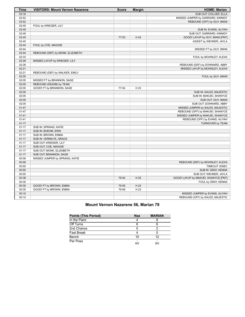| SUB OUT: COLLIER, ELLA<br>03:16<br>02:52<br>MISSED JUMPER by GARRARD, KINNIDY<br>02:52<br>REBOUND (OFF) by GUY, IMANI<br>02:49<br>FOUL by KRIEGER, LILY<br>02:49<br>SUB IN: EVANS, ALIYAH<br>02:49<br>SUB OUT: GARRARD, KINNIDY<br>02:45<br>H 24<br>GOOD! LAYUP by GUY, IMANI [PNT]<br>77-53<br>02:45<br>ASSIST by WEHNER, JAYLA<br>02:44<br>FOUL by COE, MAGGIE<br>02:44<br>MISSED FT by GUY, IMANI<br>02:44<br>REBOUND (DEF) by MONK, ELIZABETH<br>02:33<br>FOUL by MCKINLEY, ALEXA<br>02:28<br>MISSED LAYUP by KRIEGER, LILY<br>02:28<br>REBOUND (DEF) by DOWNARD, ABBY<br>02:21<br>MISSED LAYUP by MCKINLEY, ALEXA<br>02:21<br>REBOUND (DEF) by WALKER, EMILY<br>02:05<br>FOUL by GUY, IMANI<br>02:05<br>MISSED FT by BRANNON, SAGE<br>02:05<br>REBOUND (DEADB) by TEAM<br>02:05<br>GOOD! FT by BRANNON, SAGE<br>77-54<br>H 23<br>02:05<br>SUB IN: SALES, MAJESTIC<br>02:05<br>SUB IN: MAKUEI, SHANYCE<br>02:05<br>SUB OUT: GUY, IMANI<br>02:05<br>SUB OUT: DOWNARD, ABBY<br>01:47<br>MISSED JUMPER by SALES, MAJESTIC<br>01:47<br>REBOUND (OFF) by MAKUEI, SHANYCE<br>01:41<br>MISSED JUMPER by MAKUEI, SHANYCE<br>01:41<br>REBOUND (OFF) by EVANS, ALIYAH<br>01:17<br><b>TURNOVER by TEAM</b><br>01:17<br>SUB IN: SPRANG, KATIE<br>01:17<br>SUB IN: BOEHM, ERIN<br>01:17<br>SUB IN: BROWN, EMMA<br>01:17<br>SUB IN: VERMILYA, GRACE<br>01:17<br>SUB OUT: KRIEGER, LILY<br>01:17<br>SUB OUT: COE, MAGGIE<br>01:17<br>SUB OUT: MONK, ELIZABETH<br>01:17<br>SUB OUT: BRANNON, SAGE<br>00:58<br>MISSED JUMPER by SPRANG, KATIE<br>00:58<br>REBOUND (DEF) by MCKINLEY, ALEXA<br>00:55<br>TIMEOUT 30SEC<br>00:55<br>SUB IN: GRAY, KENNA<br>00:55<br>SUB OUT: WEHNER, JAYLA<br>00:38<br>H 25<br>79-54<br>GOOD! LAYUP by MAKUEI, SHANYCE [PNT]<br>00:30<br>FOUL by GRAY, KENNA<br>00:30<br>H 24<br>GOOD! FT by BROWN, EMMA<br>79-55<br>00:30<br>79-56<br>H 23<br>GOOD! FT by BROWN, EMMA<br>00:10<br>MISSED JUMPER by EVANS, ALIYAH<br>REBOUND (OFF) by SALES, MAJESTIC<br>00:10 | <b>Time</b> | <b>VISITORS: Mount Vernon Nazarene</b> | <b>Score</b> | <b>Margin</b> | <b>HOME: Marian</b> |
|--------------------------------------------------------------------------------------------------------------------------------------------------------------------------------------------------------------------------------------------------------------------------------------------------------------------------------------------------------------------------------------------------------------------------------------------------------------------------------------------------------------------------------------------------------------------------------------------------------------------------------------------------------------------------------------------------------------------------------------------------------------------------------------------------------------------------------------------------------------------------------------------------------------------------------------------------------------------------------------------------------------------------------------------------------------------------------------------------------------------------------------------------------------------------------------------------------------------------------------------------------------------------------------------------------------------------------------------------------------------------------------------------------------------------------------------------------------------------------------------------------------------------------------------------------------------------------------------------------------------------------------------------------------------------------------------------------------------------------------------------------------------------------------------------------------------------------------------------------------------------------------------------------------------------------------------------------------------------------|-------------|----------------------------------------|--------------|---------------|---------------------|
|                                                                                                                                                                                                                                                                                                                                                                                                                                                                                                                                                                                                                                                                                                                                                                                                                                                                                                                                                                                                                                                                                                                                                                                                                                                                                                                                                                                                                                                                                                                                                                                                                                                                                                                                                                                                                                                                                                                                                                                |             |                                        |              |               |                     |
|                                                                                                                                                                                                                                                                                                                                                                                                                                                                                                                                                                                                                                                                                                                                                                                                                                                                                                                                                                                                                                                                                                                                                                                                                                                                                                                                                                                                                                                                                                                                                                                                                                                                                                                                                                                                                                                                                                                                                                                |             |                                        |              |               |                     |
|                                                                                                                                                                                                                                                                                                                                                                                                                                                                                                                                                                                                                                                                                                                                                                                                                                                                                                                                                                                                                                                                                                                                                                                                                                                                                                                                                                                                                                                                                                                                                                                                                                                                                                                                                                                                                                                                                                                                                                                |             |                                        |              |               |                     |
|                                                                                                                                                                                                                                                                                                                                                                                                                                                                                                                                                                                                                                                                                                                                                                                                                                                                                                                                                                                                                                                                                                                                                                                                                                                                                                                                                                                                                                                                                                                                                                                                                                                                                                                                                                                                                                                                                                                                                                                |             |                                        |              |               |                     |
|                                                                                                                                                                                                                                                                                                                                                                                                                                                                                                                                                                                                                                                                                                                                                                                                                                                                                                                                                                                                                                                                                                                                                                                                                                                                                                                                                                                                                                                                                                                                                                                                                                                                                                                                                                                                                                                                                                                                                                                |             |                                        |              |               |                     |
|                                                                                                                                                                                                                                                                                                                                                                                                                                                                                                                                                                                                                                                                                                                                                                                                                                                                                                                                                                                                                                                                                                                                                                                                                                                                                                                                                                                                                                                                                                                                                                                                                                                                                                                                                                                                                                                                                                                                                                                |             |                                        |              |               |                     |
|                                                                                                                                                                                                                                                                                                                                                                                                                                                                                                                                                                                                                                                                                                                                                                                                                                                                                                                                                                                                                                                                                                                                                                                                                                                                                                                                                                                                                                                                                                                                                                                                                                                                                                                                                                                                                                                                                                                                                                                |             |                                        |              |               |                     |
|                                                                                                                                                                                                                                                                                                                                                                                                                                                                                                                                                                                                                                                                                                                                                                                                                                                                                                                                                                                                                                                                                                                                                                                                                                                                                                                                                                                                                                                                                                                                                                                                                                                                                                                                                                                                                                                                                                                                                                                |             |                                        |              |               |                     |
|                                                                                                                                                                                                                                                                                                                                                                                                                                                                                                                                                                                                                                                                                                                                                                                                                                                                                                                                                                                                                                                                                                                                                                                                                                                                                                                                                                                                                                                                                                                                                                                                                                                                                                                                                                                                                                                                                                                                                                                |             |                                        |              |               |                     |
|                                                                                                                                                                                                                                                                                                                                                                                                                                                                                                                                                                                                                                                                                                                                                                                                                                                                                                                                                                                                                                                                                                                                                                                                                                                                                                                                                                                                                                                                                                                                                                                                                                                                                                                                                                                                                                                                                                                                                                                |             |                                        |              |               |                     |
|                                                                                                                                                                                                                                                                                                                                                                                                                                                                                                                                                                                                                                                                                                                                                                                                                                                                                                                                                                                                                                                                                                                                                                                                                                                                                                                                                                                                                                                                                                                                                                                                                                                                                                                                                                                                                                                                                                                                                                                |             |                                        |              |               |                     |
|                                                                                                                                                                                                                                                                                                                                                                                                                                                                                                                                                                                                                                                                                                                                                                                                                                                                                                                                                                                                                                                                                                                                                                                                                                                                                                                                                                                                                                                                                                                                                                                                                                                                                                                                                                                                                                                                                                                                                                                |             |                                        |              |               |                     |
|                                                                                                                                                                                                                                                                                                                                                                                                                                                                                                                                                                                                                                                                                                                                                                                                                                                                                                                                                                                                                                                                                                                                                                                                                                                                                                                                                                                                                                                                                                                                                                                                                                                                                                                                                                                                                                                                                                                                                                                |             |                                        |              |               |                     |
|                                                                                                                                                                                                                                                                                                                                                                                                                                                                                                                                                                                                                                                                                                                                                                                                                                                                                                                                                                                                                                                                                                                                                                                                                                                                                                                                                                                                                                                                                                                                                                                                                                                                                                                                                                                                                                                                                                                                                                                |             |                                        |              |               |                     |
|                                                                                                                                                                                                                                                                                                                                                                                                                                                                                                                                                                                                                                                                                                                                                                                                                                                                                                                                                                                                                                                                                                                                                                                                                                                                                                                                                                                                                                                                                                                                                                                                                                                                                                                                                                                                                                                                                                                                                                                |             |                                        |              |               |                     |
|                                                                                                                                                                                                                                                                                                                                                                                                                                                                                                                                                                                                                                                                                                                                                                                                                                                                                                                                                                                                                                                                                                                                                                                                                                                                                                                                                                                                                                                                                                                                                                                                                                                                                                                                                                                                                                                                                                                                                                                |             |                                        |              |               |                     |
|                                                                                                                                                                                                                                                                                                                                                                                                                                                                                                                                                                                                                                                                                                                                                                                                                                                                                                                                                                                                                                                                                                                                                                                                                                                                                                                                                                                                                                                                                                                                                                                                                                                                                                                                                                                                                                                                                                                                                                                |             |                                        |              |               |                     |
|                                                                                                                                                                                                                                                                                                                                                                                                                                                                                                                                                                                                                                                                                                                                                                                                                                                                                                                                                                                                                                                                                                                                                                                                                                                                                                                                                                                                                                                                                                                                                                                                                                                                                                                                                                                                                                                                                                                                                                                |             |                                        |              |               |                     |
|                                                                                                                                                                                                                                                                                                                                                                                                                                                                                                                                                                                                                                                                                                                                                                                                                                                                                                                                                                                                                                                                                                                                                                                                                                                                                                                                                                                                                                                                                                                                                                                                                                                                                                                                                                                                                                                                                                                                                                                |             |                                        |              |               |                     |
|                                                                                                                                                                                                                                                                                                                                                                                                                                                                                                                                                                                                                                                                                                                                                                                                                                                                                                                                                                                                                                                                                                                                                                                                                                                                                                                                                                                                                                                                                                                                                                                                                                                                                                                                                                                                                                                                                                                                                                                |             |                                        |              |               |                     |
|                                                                                                                                                                                                                                                                                                                                                                                                                                                                                                                                                                                                                                                                                                                                                                                                                                                                                                                                                                                                                                                                                                                                                                                                                                                                                                                                                                                                                                                                                                                                                                                                                                                                                                                                                                                                                                                                                                                                                                                |             |                                        |              |               |                     |
|                                                                                                                                                                                                                                                                                                                                                                                                                                                                                                                                                                                                                                                                                                                                                                                                                                                                                                                                                                                                                                                                                                                                                                                                                                                                                                                                                                                                                                                                                                                                                                                                                                                                                                                                                                                                                                                                                                                                                                                |             |                                        |              |               |                     |
|                                                                                                                                                                                                                                                                                                                                                                                                                                                                                                                                                                                                                                                                                                                                                                                                                                                                                                                                                                                                                                                                                                                                                                                                                                                                                                                                                                                                                                                                                                                                                                                                                                                                                                                                                                                                                                                                                                                                                                                |             |                                        |              |               |                     |
|                                                                                                                                                                                                                                                                                                                                                                                                                                                                                                                                                                                                                                                                                                                                                                                                                                                                                                                                                                                                                                                                                                                                                                                                                                                                                                                                                                                                                                                                                                                                                                                                                                                                                                                                                                                                                                                                                                                                                                                |             |                                        |              |               |                     |
|                                                                                                                                                                                                                                                                                                                                                                                                                                                                                                                                                                                                                                                                                                                                                                                                                                                                                                                                                                                                                                                                                                                                                                                                                                                                                                                                                                                                                                                                                                                                                                                                                                                                                                                                                                                                                                                                                                                                                                                |             |                                        |              |               |                     |
|                                                                                                                                                                                                                                                                                                                                                                                                                                                                                                                                                                                                                                                                                                                                                                                                                                                                                                                                                                                                                                                                                                                                                                                                                                                                                                                                                                                                                                                                                                                                                                                                                                                                                                                                                                                                                                                                                                                                                                                |             |                                        |              |               |                     |
|                                                                                                                                                                                                                                                                                                                                                                                                                                                                                                                                                                                                                                                                                                                                                                                                                                                                                                                                                                                                                                                                                                                                                                                                                                                                                                                                                                                                                                                                                                                                                                                                                                                                                                                                                                                                                                                                                                                                                                                |             |                                        |              |               |                     |
|                                                                                                                                                                                                                                                                                                                                                                                                                                                                                                                                                                                                                                                                                                                                                                                                                                                                                                                                                                                                                                                                                                                                                                                                                                                                                                                                                                                                                                                                                                                                                                                                                                                                                                                                                                                                                                                                                                                                                                                |             |                                        |              |               |                     |
|                                                                                                                                                                                                                                                                                                                                                                                                                                                                                                                                                                                                                                                                                                                                                                                                                                                                                                                                                                                                                                                                                                                                                                                                                                                                                                                                                                                                                                                                                                                                                                                                                                                                                                                                                                                                                                                                                                                                                                                |             |                                        |              |               |                     |
|                                                                                                                                                                                                                                                                                                                                                                                                                                                                                                                                                                                                                                                                                                                                                                                                                                                                                                                                                                                                                                                                                                                                                                                                                                                                                                                                                                                                                                                                                                                                                                                                                                                                                                                                                                                                                                                                                                                                                                                |             |                                        |              |               |                     |
|                                                                                                                                                                                                                                                                                                                                                                                                                                                                                                                                                                                                                                                                                                                                                                                                                                                                                                                                                                                                                                                                                                                                                                                                                                                                                                                                                                                                                                                                                                                                                                                                                                                                                                                                                                                                                                                                                                                                                                                |             |                                        |              |               |                     |
|                                                                                                                                                                                                                                                                                                                                                                                                                                                                                                                                                                                                                                                                                                                                                                                                                                                                                                                                                                                                                                                                                                                                                                                                                                                                                                                                                                                                                                                                                                                                                                                                                                                                                                                                                                                                                                                                                                                                                                                |             |                                        |              |               |                     |
|                                                                                                                                                                                                                                                                                                                                                                                                                                                                                                                                                                                                                                                                                                                                                                                                                                                                                                                                                                                                                                                                                                                                                                                                                                                                                                                                                                                                                                                                                                                                                                                                                                                                                                                                                                                                                                                                                                                                                                                |             |                                        |              |               |                     |
|                                                                                                                                                                                                                                                                                                                                                                                                                                                                                                                                                                                                                                                                                                                                                                                                                                                                                                                                                                                                                                                                                                                                                                                                                                                                                                                                                                                                                                                                                                                                                                                                                                                                                                                                                                                                                                                                                                                                                                                |             |                                        |              |               |                     |
|                                                                                                                                                                                                                                                                                                                                                                                                                                                                                                                                                                                                                                                                                                                                                                                                                                                                                                                                                                                                                                                                                                                                                                                                                                                                                                                                                                                                                                                                                                                                                                                                                                                                                                                                                                                                                                                                                                                                                                                |             |                                        |              |               |                     |
|                                                                                                                                                                                                                                                                                                                                                                                                                                                                                                                                                                                                                                                                                                                                                                                                                                                                                                                                                                                                                                                                                                                                                                                                                                                                                                                                                                                                                                                                                                                                                                                                                                                                                                                                                                                                                                                                                                                                                                                |             |                                        |              |               |                     |
|                                                                                                                                                                                                                                                                                                                                                                                                                                                                                                                                                                                                                                                                                                                                                                                                                                                                                                                                                                                                                                                                                                                                                                                                                                                                                                                                                                                                                                                                                                                                                                                                                                                                                                                                                                                                                                                                                                                                                                                |             |                                        |              |               |                     |
|                                                                                                                                                                                                                                                                                                                                                                                                                                                                                                                                                                                                                                                                                                                                                                                                                                                                                                                                                                                                                                                                                                                                                                                                                                                                                                                                                                                                                                                                                                                                                                                                                                                                                                                                                                                                                                                                                                                                                                                |             |                                        |              |               |                     |
|                                                                                                                                                                                                                                                                                                                                                                                                                                                                                                                                                                                                                                                                                                                                                                                                                                                                                                                                                                                                                                                                                                                                                                                                                                                                                                                                                                                                                                                                                                                                                                                                                                                                                                                                                                                                                                                                                                                                                                                |             |                                        |              |               |                     |
|                                                                                                                                                                                                                                                                                                                                                                                                                                                                                                                                                                                                                                                                                                                                                                                                                                                                                                                                                                                                                                                                                                                                                                                                                                                                                                                                                                                                                                                                                                                                                                                                                                                                                                                                                                                                                                                                                                                                                                                |             |                                        |              |               |                     |
|                                                                                                                                                                                                                                                                                                                                                                                                                                                                                                                                                                                                                                                                                                                                                                                                                                                                                                                                                                                                                                                                                                                                                                                                                                                                                                                                                                                                                                                                                                                                                                                                                                                                                                                                                                                                                                                                                                                                                                                |             |                                        |              |               |                     |
|                                                                                                                                                                                                                                                                                                                                                                                                                                                                                                                                                                                                                                                                                                                                                                                                                                                                                                                                                                                                                                                                                                                                                                                                                                                                                                                                                                                                                                                                                                                                                                                                                                                                                                                                                                                                                                                                                                                                                                                |             |                                        |              |               |                     |
|                                                                                                                                                                                                                                                                                                                                                                                                                                                                                                                                                                                                                                                                                                                                                                                                                                                                                                                                                                                                                                                                                                                                                                                                                                                                                                                                                                                                                                                                                                                                                                                                                                                                                                                                                                                                                                                                                                                                                                                |             |                                        |              |               |                     |
|                                                                                                                                                                                                                                                                                                                                                                                                                                                                                                                                                                                                                                                                                                                                                                                                                                                                                                                                                                                                                                                                                                                                                                                                                                                                                                                                                                                                                                                                                                                                                                                                                                                                                                                                                                                                                                                                                                                                                                                |             |                                        |              |               |                     |
|                                                                                                                                                                                                                                                                                                                                                                                                                                                                                                                                                                                                                                                                                                                                                                                                                                                                                                                                                                                                                                                                                                                                                                                                                                                                                                                                                                                                                                                                                                                                                                                                                                                                                                                                                                                                                                                                                                                                                                                |             |                                        |              |               |                     |
|                                                                                                                                                                                                                                                                                                                                                                                                                                                                                                                                                                                                                                                                                                                                                                                                                                                                                                                                                                                                                                                                                                                                                                                                                                                                                                                                                                                                                                                                                                                                                                                                                                                                                                                                                                                                                                                                                                                                                                                |             |                                        |              |               |                     |
|                                                                                                                                                                                                                                                                                                                                                                                                                                                                                                                                                                                                                                                                                                                                                                                                                                                                                                                                                                                                                                                                                                                                                                                                                                                                                                                                                                                                                                                                                                                                                                                                                                                                                                                                                                                                                                                                                                                                                                                |             |                                        |              |               |                     |
|                                                                                                                                                                                                                                                                                                                                                                                                                                                                                                                                                                                                                                                                                                                                                                                                                                                                                                                                                                                                                                                                                                                                                                                                                                                                                                                                                                                                                                                                                                                                                                                                                                                                                                                                                                                                                                                                                                                                                                                |             |                                        |              |               |                     |

### **Mount Vernon Nazarene 56, Marian 79**

| <b>Points (This Period)</b> | <b>Naz</b> | <b>MARIAN</b> |
|-----------------------------|------------|---------------|
| In the Paint                |            |               |
| Off Turns                   | 6          |               |
| 2nd Chance                  |            |               |
| Fast Break                  |            |               |
| Bench                       | 10         |               |
| Per Poss                    | 8/0        | 9/0           |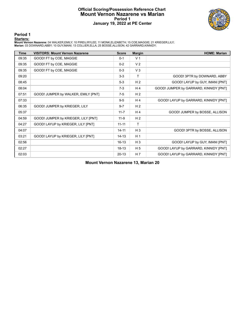### **Official Scoring/Possession Reference Chart Mount Vernon Nazarene vs Marian Period 1 January 19, 2022 at PE Center**



**Period 1**

<mark>Startersː</mark><br>Mount Vernon Nazarene: 04 WALKER,EMILY; 10 PIREU,RYLEE; 11 MONK,ELIZABETH; 15 COE,MAGGIE; 21 KRIEGER,LILY;<br>Marian: 03 DOWNARD,ABBY; 10 GUY,IMANI; 13 COLLIER,ELLA; 25 BOSSE,ALLISON; 42 GARRARD,KINNIDY;

| <b>Time</b> | <b>VISITORS: Mount Vernon Nazarene</b> | <b>Score</b> | <b>Margin</b>  | <b>HOME: Marian</b>                    |
|-------------|----------------------------------------|--------------|----------------|----------------------------------------|
| 09:35       | GOOD! FT by COE, MAGGIE                | $0 - 1$      | V <sub>1</sub> |                                        |
| 09:35       | GOOD! FT by COE, MAGGIE                | $0 - 2$      | V <sub>2</sub> |                                        |
| 09:35       | GOOD! FT by COE, MAGGIE                | $0 - 3$      | $V_3$          |                                        |
| 09:20       |                                        | $3-3$        | Τ              | GOOD! 3PTR by DOWNARD, ABBY            |
| 08:45       |                                        | $5-3$        | H <sub>2</sub> | GOOD! LAYUP by GUY, IMANI [PNT]        |
| 08:04       |                                        | $7-3$        | H4             | GOOD! JUMPER by GARRARD, KINNIDY [PNT] |
| 07:51       | GOOD! JUMPER by WALKER, EMILY [PNT]    | $7-5$        | H <sub>2</sub> |                                        |
| 07:33       |                                        | $9-5$        | H4             | GOOD! LAYUP by GARRARD, KINNIDY [PNT]  |
| 06:35       | GOOD! JUMPER by KRIEGER, LILY          | $9 - 7$      | H <sub>2</sub> |                                        |
| 05:37       |                                        | $11 - 7$     | H <sub>4</sub> | GOOD! JUMPER by BOSSE, ALLISON         |
| 04:59       | GOOD! JUMPER by KRIEGER, LILY [PNT]    | $11-9$       | H <sub>2</sub> |                                        |
| 04:27       | GOOD! LAYUP by KRIEGER, LILY [PNT]     | $11 - 11$    | $\mathsf{T}$   |                                        |
| 04:07       |                                        | $14 - 11$    | $H_3$          | GOOD! 3PTR by BOSSE, ALLISON           |
| 03:21       | GOOD! LAYUP by KRIEGER, LILY [PNT]     | $14 - 13$    | H <sub>1</sub> |                                        |
| 02:56       |                                        | $16 - 13$    | $H_3$          | GOOD! LAYUP by GUY, IMANI [PNT]        |
| 02:27       |                                        | $18-13$      | H <sub>5</sub> | GOOD! LAYUP by GARRARD, KINNIDY [PNT]  |
| 02:03       |                                        | $20 - 13$    | H 7            | GOOD! LAYUP by GARRARD, KINNIDY [PNT]  |

**Mount Vernon Nazarene 13, Marian 20**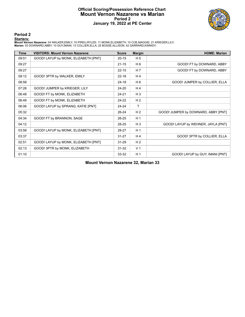### **Official Scoring/Possession Reference Chart Mount Vernon Nazarene vs Marian Period 2 January 19, 2022 at PE Center**



**Period 2**

### **Starters:**

Mount Vernon Nazarene: 04 WALKER,EMILY; 10 PIREU,RYLEE; 11 MONK,ELIZABETH; 15 COE,MAGGIE; 21 KRIEGER,LILY;<br>Marian: 03 DOWNARD,ABBY; 10 GUY,IMANI; 13 COLLIER,ELLA; 25 BOSSE,ALLISON; 42 GARRARD,KINNIDY;

| Time  | <b>VISITORS: Mount Vernon Nazarene</b> | <b>Score</b> | <b>Margin</b>  | <b>HOME: Marian</b>                 |
|-------|----------------------------------------|--------------|----------------|-------------------------------------|
| 09:51 | GOOD! LAYUP by MONK, ELIZABETH [PNT]   | $20 - 15$    | H <sub>5</sub> |                                     |
| 09:27 |                                        | $21 - 15$    | H <sub>6</sub> | GOOD! FT by DOWNARD, ABBY           |
| 09:27 |                                        | $22 - 15$    | H <sub>7</sub> | GOOD! FT by DOWNARD, ABBY           |
| 09:12 | GOOD! 3PTR by WALKER, EMILY            | $22 - 18$    | H <sub>4</sub> |                                     |
| 08:58 |                                        | $24 - 18$    | H <sub>6</sub> | GOOD! JUMPER by COLLIER, ELLA       |
| 07:26 | GOOD! JUMPER by KRIEGER, LILY          | 24-20        | H <sub>4</sub> |                                     |
| 06:48 | GOOD! FT by MONK, ELIZABETH            | 24-21        | $H_3$          |                                     |
| 06:48 | GOOD! FT by MONK, ELIZABETH            | 24-22        | H <sub>2</sub> |                                     |
| 06:06 | GOOD! LAYUP by SPRANG, KATIE [PNT]     | $24 - 24$    | $\mathsf{T}$   |                                     |
| 05:32 |                                        | 26-24        | H <sub>2</sub> | GOOD! JUMPER by DOWNARD, ABBY [PNT] |
| 04:34 | GOOD! FT by BRANNON, SAGE              | $26 - 25$    | H <sub>1</sub> |                                     |
| 04:12 |                                        | 28-25        | $H_3$          | GOOD! LAYUP by WEHNER, JAYLA [PNT]  |
| 03:58 | GOOD! LAYUP by MONK, ELIZABETH [PNT]   | 28-27        | H <sub>1</sub> |                                     |
| 03:37 |                                        | $31 - 27$    | H <sub>4</sub> | GOOD! 3PTR by COLLIER, ELLA         |
| 02:51 | GOOD! LAYUP by MONK, ELIZABETH [PNT]   | $31 - 29$    | H <sub>2</sub> |                                     |
| 02:13 | GOOD! 3PTR by MONK, ELIZABETH          | 31-32        | V <sub>1</sub> |                                     |
| 01:10 |                                        | 33-32        | H <sub>1</sub> | GOOD! LAYUP by GUY, IMANI [PNT]     |

**Mount Vernon Nazarene 32, Marian 33**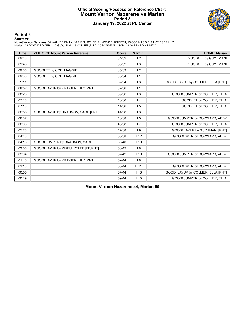### **Official Scoring/Possession Reference Chart Mount Vernon Nazarene vs Marian Period 3 January 19, 2022 at PE Center**



**Period 3**

### **Starters:**

Mount Vernon Nazarene: 04 WALKER,EMILY; 10 PIREU,RYLEE; 11 MONK,ELIZABETH; 15 COE,MAGGIE; 21 KRIEGER,LILY;<br>Marian: 03 DOWNARD,ABBY; 10 GUY,IMANI; 13 COLLIER,ELLA; 25 BOSSE,ALLISON; 42 GARRARD,KINNIDY;

| <b>Time</b> | <b>VISITORS: Mount Vernon Nazarene</b> | <b>Score</b> | <b>Margin</b>  | <b>HOME: Marian</b>                |
|-------------|----------------------------------------|--------------|----------------|------------------------------------|
| 09:48       |                                        | 34-32        | H <sub>2</sub> | GOOD! FT by GUY, IMANI             |
| 09:48       |                                        | 35-32        | $H_3$          | GOOD! FT by GUY, IMANI             |
| 09:36       | GOOD! FT by COE, MAGGIE                | 35-33        | H <sub>2</sub> |                                    |
| 09:36       | GOOD! FT by COE, MAGGIE                | 35-34        | H <sub>1</sub> |                                    |
| 09:11       |                                        | 37-34        | $H_3$          | GOOD! LAYUP by COLLIER, ELLA [PNT] |
| 08:52       | GOOD! LAYUP by KRIEGER, LILY [PNT]     | 37-36        | H <sub>1</sub> |                                    |
| 08:26       |                                        | 39-36        | $H_3$          | GOOD! JUMPER by COLLIER, ELLA      |
| 07:18       |                                        | 40-36        | H <sub>4</sub> | GOOD! FT by COLLIER, ELLA          |
| 07:18       |                                        | 41-36        | H <sub>5</sub> | GOOD! FT by COLLIER, ELLA          |
| 06:55       | GOOD! LAYUP by BRANNON, SAGE [PNT]     | 41-38        | $H_3$          |                                    |
| 06:37       |                                        | 43-38        | H <sub>5</sub> | GOOD! JUMPER by DOWNARD, ABBY      |
| 06:08       |                                        | 45-38        | H <sub>7</sub> | GOOD! JUMPER by COLLIER, ELLA      |
| 05:28       |                                        | 47-38        | H 9            | GOOD! LAYUP by GUY, IMANI [PNT]    |
| 04:43       |                                        | 50-38        | H 12           | GOOD! 3PTR by DOWNARD, ABBY        |
| 04:13       | GOOD! JUMPER by BRANNON, SAGE          | 50-40        | H 10           |                                    |
| 03:06       | GOOD! LAYUP by PIREU, RYLEE [FB/PNT]   | 50-42        | H <sub>8</sub> |                                    |
| 02:04       |                                        | $52 - 42$    | H 10           | GOOD! JUMPER by DOWNARD, ABBY      |
| 01:40       | GOOD! LAYUP by KRIEGER, LILY [PNT]     | 52-44        | H8             |                                    |
| 01:13       |                                        | 55-44        | H 11           | GOOD! 3PTR by DOWNARD, ABBY        |
| 00:55       |                                        | 57-44        | H 13           | GOOD! LAYUP by COLLIER, ELLA [PNT] |
| 00:19       |                                        | 59-44        | H 15           | GOOD! JUMPER by COLLIER, ELLA      |

**Mount Vernon Nazarene 44, Marian 59**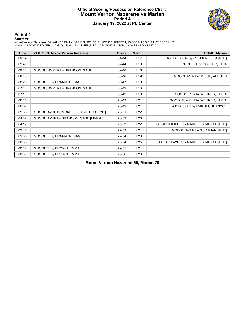### **Official Scoring/Possession Reference Chart Mount Vernon Nazarene vs Marian Period 4 January 19, 2022 at PE Center**



**Period 4**

### **Starters:**

Mount Vernon Nazarene: 04 WALKER,EMILY; 10 PIREU,RYLEE; 11 MONK,ELIZABETH; 15 COE,MAGGIE; 21 KRIEGER,LILY;<br>Marian: 03 DOWNARD,ABBY; 10 GUY,IMANI; 13 COLLIER,ELLA; 25 BOSSE,ALLISON; 42 GARRARD,KINNIDY;

| <b>Time</b> | <b>VISITORS: Mount Vernon Nazarene</b>  | <b>Score</b> | <b>Margin</b> | <b>HOME: Marian</b>                   |
|-------------|-----------------------------------------|--------------|---------------|---------------------------------------|
| 09:49       |                                         | 61-44        | H 17          | GOOD! LAYUP by COLLIER, ELLA [PNT]    |
| 09:49       |                                         | 62-44        | H 18          | GOOD! FT by COLLIER, ELLA             |
| 09:23       | GOOD! JUMPER by BRANNON, SAGE           | 62-46        | H 16          |                                       |
| 08:40       |                                         | 65-46        | H 19          | GOOD! 3PTR by BOSSE, ALLISON          |
| 08:26       | GOOD! FT by BRANNON, SAGE               | 65-47        | H 18          |                                       |
| 07:43       | GOOD! JUMPER by BRANNON, SAGE           | 65-49        | H 16          |                                       |
| 07:10       |                                         | 68-49        | H 19          | GOOD! 3PTR by WEHNER, JAYLA           |
| 06:25       |                                         | 70-49        | H 21          | GOOD! JUMPER by WEHNER, JAYLA         |
| 06:07       |                                         | 73-49        | H 24          | GOOD! 3PTR by MAKUEI, SHANYCE         |
| 05:38       | GOOD! LAYUP by MONK, ELIZABETH [FB/PNT] | 73-51        | H 22          |                                       |
| 04:37       | GOOD! LAYUP by BRANNON, SAGE [FB/PNT]   | 73-53        | H 20          |                                       |
| 04:17       |                                         | 75-53        | H 22          | GOOD! JUMPER by MAKUEI, SHANYCE [PNT] |
| 02:45       |                                         | 77-53        | H 24          | GOOD! LAYUP by GUY, IMANI [PNT]       |
| 02:05       | GOOD! FT by BRANNON, SAGE               | 77-54        | H 23          |                                       |
| 00:38       |                                         | 79-54        | H 25          | GOOD! LAYUP by MAKUEI, SHANYCE [PNT]  |
| 00:30       | GOOD! FT by BROWN, EMMA                 | 79-55        | H 24          |                                       |
| 00:30       | GOOD! FT by BROWN, EMMA                 | 79-56        | H 23          |                                       |

**Mount Vernon Nazarene 56, Marian 79**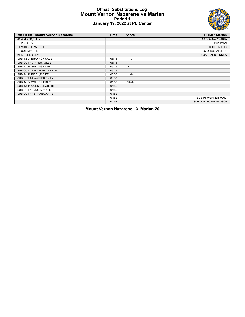### **Official Substitutions Log Mount Vernon Nazarene vs Marian Period 1 January 19, 2022 at PE Center**



| <b>VISITORS: Mount Vernon Nazarene</b> | <b>Time</b> | <b>Score</b> | <b>HOME: Marian</b>    |
|----------------------------------------|-------------|--------------|------------------------|
| 04 WALKER, EMILY                       |             |              | 03 DOWNARD, ABBY       |
| 10 PIREU, RYLEE                        |             |              | 10 GUY, IMANI          |
| 11 MONK, ELIZABETH                     |             |              | 13 COLLIER, ELLA       |
| 15 COE, MAGGIE                         |             |              | 25 BOSSE, ALLISON      |
| 21 KRIEGER, LILY                       |             |              | 42 GARRARD, KINNIDY    |
| SUB IN: 01 BRANNON, SAGE               | 06:13       | $7-9$        |                        |
| SUB OUT: 10 PIREU, RYLEE               | 06:13       |              |                        |
| SUB IN: 14 SPRANG, KATIE               | 05:16       | $7 - 11$     |                        |
| SUB OUT: 11 MONK, ELIZABETH            | 05:16       |              |                        |
| SUB IN: 10 PIREU, RYLEE                | 03:37       | $11 - 14$    |                        |
| SUB OUT: 04 WALKER, EMILY              | 03:37       |              |                        |
| SUB IN: 04 WALKER, EMILY               | 01:52       | $13 - 20$    |                        |
| SUB IN: 11 MONK, ELIZABETH             | 01:52       |              |                        |
| SUB OUT: 15 COE, MAGGIE                | 01:52       |              |                        |
| SUB OUT: 14 SPRANG, KATIE              | 01:52       |              |                        |
|                                        | 01:52       |              | SUB IN: WEHNER, JAYLA  |
|                                        | 01:52       |              | SUB OUT: BOSSE.ALLISON |

**Mount Vernon Nazarene 13, Marian 20**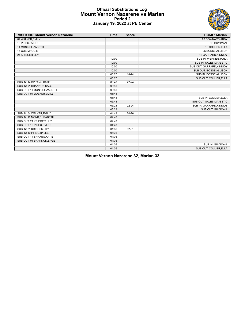### **Official Substitutions Log Mount Vernon Nazarene vs Marian Period 2 January 19, 2022 at PE Center**



| <b>VISITORS: Mount Vernon Nazarene</b> | <b>Time</b> | <b>Score</b>             | <b>HOME: Marian</b>       |
|----------------------------------------|-------------|--------------------------|---------------------------|
| 04 WALKER, EMILY                       |             |                          | 03 DOWNARD, ABBY          |
| 10 PIREU, RYLEE                        |             |                          | 10 GUY, IMANI             |
| 11 MONK, ELIZABETH                     |             |                          | 13 COLLIER, ELLA          |
| 15 COE, MAGGIE                         |             |                          | 25 BOSSE, ALLISON         |
| 21 KRIEGER, LILY                       |             |                          | 42 GARRARD, KINNIDY       |
|                                        | 10:00       | $\overline{\phantom{a}}$ | SUB IN: WEHNER, JAYLA     |
|                                        | 10:00       |                          | SUB IN: SALES, MAJESTIC   |
|                                        | 10:00       |                          | SUB OUT: GARRARD, KINNIDY |
|                                        | 10:00       |                          | SUB OUT: BOSSE, ALLISON   |
|                                        | 08:27       | 18-24                    | SUB IN: BOSSE, ALLISON    |
|                                        | 08:27       |                          | SUB OUT: COLLIER, ELLA    |
| SUB IN: 14 SPRANG, KATIE               | 06:48       | $22 - 24$                |                           |
| SUB IN: 01 BRANNON, SAGE               | 06:48       |                          |                           |
| SUB OUT: 11 MONK, ELIZABETH            | 06:48       |                          |                           |
| SUB OUT: 04 WALKER, EMILY              | 06:48       |                          |                           |
|                                        | 06:48       |                          | SUB IN: COLLIER, ELLA     |
|                                        | 06:48       |                          | SUB OUT: SALES, MAJESTIC  |
|                                        | 06:23       | $22 - 24$                | SUB IN: GARRARD, KINNIDY  |
|                                        | 06:23       |                          | SUB OUT: GUY, IMANI       |
| SUB IN: 04 WALKER, EMILY               | 04:43       | 24-26                    |                           |
| SUB IN: 11 MONK, ELIZABETH             | 04:43       |                          |                           |
| SUB OUT: 21 KRIEGER, LILY              | 04:43       |                          |                           |
| SUB OUT: 10 PIREU, RYLEE               | 04:43       |                          |                           |
| SUB IN: 21 KRIEGER, LILY               | 01:36       | $32 - 31$                |                           |
| SUB IN: 10 PIREU, RYLEE                | 01:36       |                          |                           |
| SUB OUT: 14 SPRANG, KATIE              | 01:36       |                          |                           |
| SUB OUT: 01 BRANNON, SAGE              | 01:36       |                          |                           |
|                                        | 01:36       |                          | SUB IN: GUY, IMANI        |
|                                        | 01:36       |                          | SUB OUT: COLLIER, ELLA    |

**Mount Vernon Nazarene 32, Marian 33**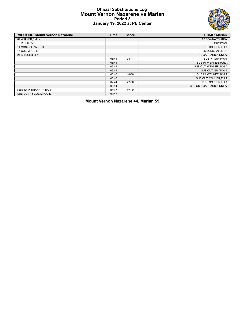### **Official Substitutions Log Mount Vernon Nazarene vs Marian Period 3 January 19, 2022 at PE Center**



| <b>VISITORS: Mount Vernon Nazarene</b> | <b>Time</b> | <b>Score</b> | <b>HOME: Marian</b>       |
|----------------------------------------|-------------|--------------|---------------------------|
| 04 WALKER, EMILY                       |             |              | 03 DOWNARD, ABBY          |
| 10 PIREU, RYLEE                        |             |              | 10 GUY, IMANI             |
| 11 MONK, ELIZABETH                     |             |              | 13 COLLIER, ELLA          |
| 15 COE, MAGGIE                         |             |              | 25 BOSSE, ALLISON         |
| 21 KRIEGER, LILY                       |             |              | 42 GARRARD, KINNIDY       |
|                                        | 06:41       | 38-41        | SUB IN: GUY.IMANI         |
|                                        | 06:41       |              | SUB IN: WEHNER, JAYLA     |
|                                        | 06:41       |              | SUB OUT: WEHNER, JAYLA    |
|                                        | 06:41       |              | SUB OUT: GUY, IMANI       |
|                                        | 03:46       | 40-50        | SUB IN: WEHNER.JAYLA      |
|                                        | 03:46       |              | SUB OUT: COLLIER, ELLA    |
|                                        | 02:44       | 42-50        | SUB IN: COLLIER, ELLA     |
|                                        | 02:44       |              | SUB OUT: GARRARD, KINNIDY |
| SUB IN: 01 BRANNON, SAGE               | 01:47       | 42-52        |                           |
| SUB OUT: 15 COE, MAGGIE                | 01:47       |              |                           |

**Mount Vernon Nazarene 44, Marian 59**